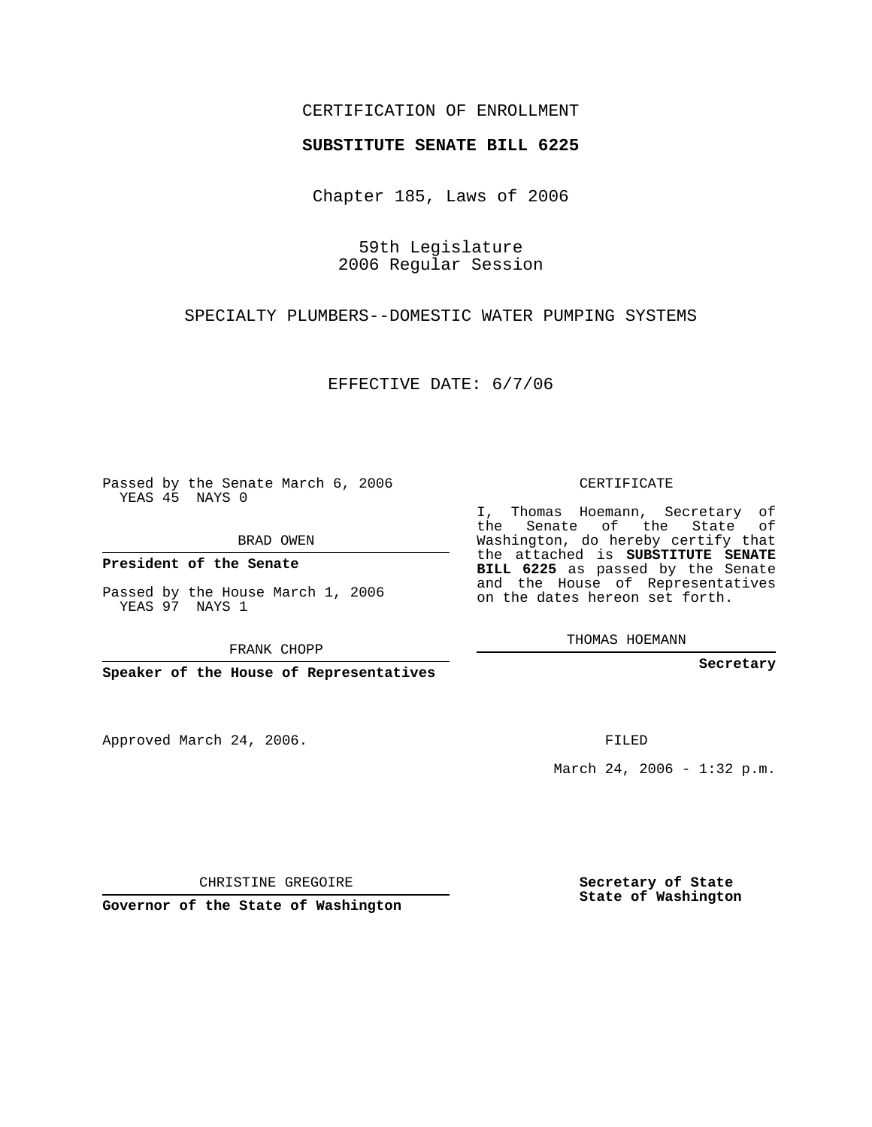## CERTIFICATION OF ENROLLMENT

#### **SUBSTITUTE SENATE BILL 6225**

Chapter 185, Laws of 2006

59th Legislature 2006 Regular Session

SPECIALTY PLUMBERS--DOMESTIC WATER PUMPING SYSTEMS

EFFECTIVE DATE: 6/7/06

Passed by the Senate March 6, 2006 YEAS 45 NAYS 0

BRAD OWEN

**President of the Senate**

Passed by the House March 1, 2006 YEAS 97 NAYS 1

FRANK CHOPP

**Speaker of the House of Representatives**

Approved March 24, 2006.

CERTIFICATE

I, Thomas Hoemann, Secretary of the Senate of the State of Washington, do hereby certify that the attached is **SUBSTITUTE SENATE BILL 6225** as passed by the Senate and the House of Representatives on the dates hereon set forth.

THOMAS HOEMANN

**Secretary**

FILED

March 24, 2006 - 1:32 p.m.

CHRISTINE GREGOIRE

**Governor of the State of Washington**

**Secretary of State State of Washington**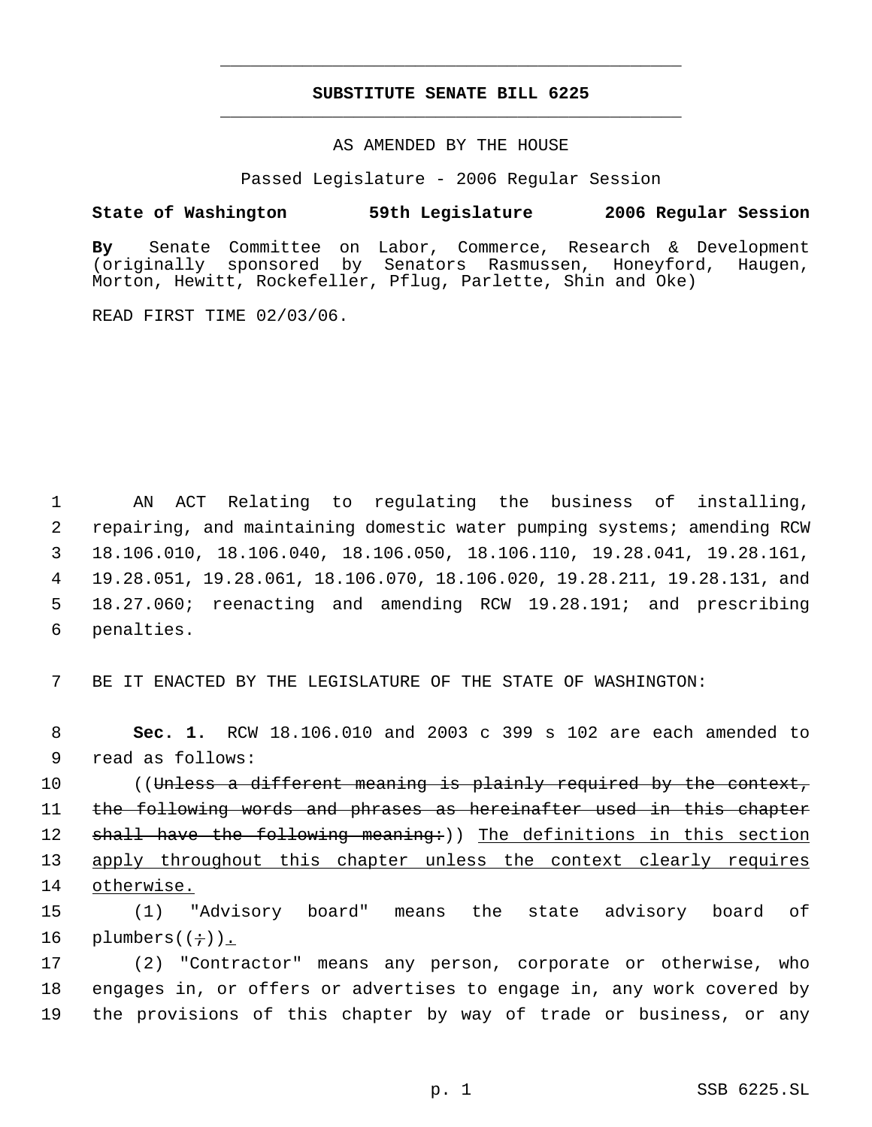# **SUBSTITUTE SENATE BILL 6225** \_\_\_\_\_\_\_\_\_\_\_\_\_\_\_\_\_\_\_\_\_\_\_\_\_\_\_\_\_\_\_\_\_\_\_\_\_\_\_\_\_\_\_\_\_

\_\_\_\_\_\_\_\_\_\_\_\_\_\_\_\_\_\_\_\_\_\_\_\_\_\_\_\_\_\_\_\_\_\_\_\_\_\_\_\_\_\_\_\_\_

### AS AMENDED BY THE HOUSE

Passed Legislature - 2006 Regular Session

### **State of Washington 59th Legislature 2006 Regular Session**

**By** Senate Committee on Labor, Commerce, Research & Development sponsored by Senators Rasmussen, Honeyford, Haugen, Morton, Hewitt, Rockefeller, Pflug, Parlette, Shin and Oke)

READ FIRST TIME 02/03/06.

 AN ACT Relating to regulating the business of installing, repairing, and maintaining domestic water pumping systems; amending RCW 18.106.010, 18.106.040, 18.106.050, 18.106.110, 19.28.041, 19.28.161, 19.28.051, 19.28.061, 18.106.070, 18.106.020, 19.28.211, 19.28.131, and 18.27.060; reenacting and amending RCW 19.28.191; and prescribing penalties.

7 BE IT ENACTED BY THE LEGISLATURE OF THE STATE OF WASHINGTON:

 8 **Sec. 1.** RCW 18.106.010 and 2003 c 399 s 102 are each amended to 9 read as follows:

10 ((Unless a different meaning is plainly required by the context, 11 the following words and phrases as hereinafter used in this chapter 12 shall have the following meaning:)) The definitions in this section 13 apply throughout this chapter unless the context clearly requires 14 otherwise.

15 (1) "Advisory board" means the state advisory board of 16 plumbers $((\div))$ .

17 (2) "Contractor" means any person, corporate or otherwise, who 18 engages in, or offers or advertises to engage in, any work covered by 19 the provisions of this chapter by way of trade or business, or any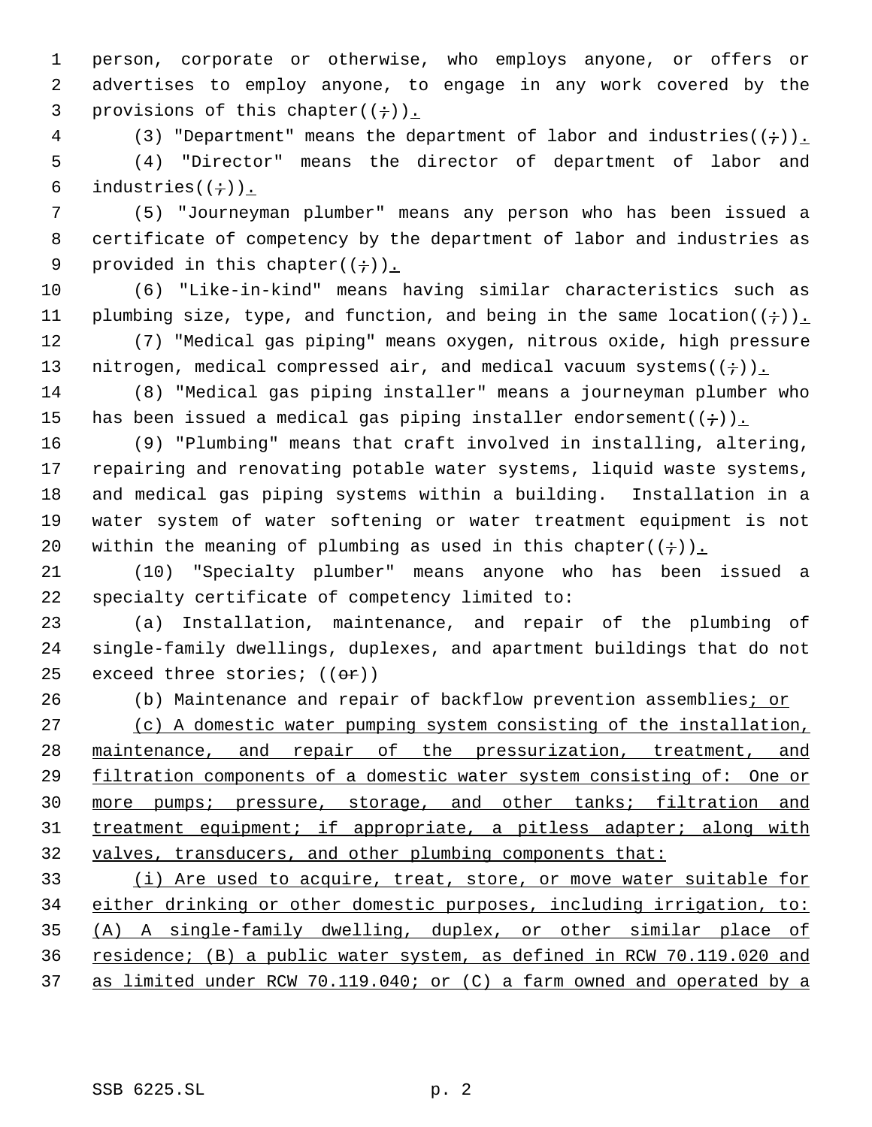person, corporate or otherwise, who employs anyone, or offers or advertises to employ anyone, to engage in any work covered by the 3 provisions of this chapter( $(i)$ ).

4 (3) "Department" means the department of labor and industries( $(+)$ ). (4) "Director" means the director of department of labor and 6 industries( $(\div)$ ).

 (5) "Journeyman plumber" means any person who has been issued a certificate of competency by the department of labor and industries as 9 provided in this chapter( $(+)$ ).

 (6) "Like-in-kind" means having similar characteristics such as 11 plumbing size, type, and function, and being in the same location( $(+)$ ).

 (7) "Medical gas piping" means oxygen, nitrous oxide, high pressure 13 nitrogen, medical compressed air, and medical vacuum systems( $(+)$ ).

 (8) "Medical gas piping installer" means a journeyman plumber who 15 has been issued a medical gas piping installer endorsement( $(+)$ ).

 (9) "Plumbing" means that craft involved in installing, altering, repairing and renovating potable water systems, liquid waste systems, and medical gas piping systems within a building. Installation in a water system of water softening or water treatment equipment is not 20 within the meaning of plumbing as used in this chapter( $(+)$ ).

 (10) "Specialty plumber" means anyone who has been issued a specialty certificate of competency limited to:

 (a) Installation, maintenance, and repair of the plumbing of single-family dwellings, duplexes, and apartment buildings that do not 25 exceed three stories;  $((e^+e^+))$ 

26 (b) Maintenance and repair of backflow prevention assemblies; or

 (c) A domestic water pumping system consisting of the installation, maintenance, and repair of the pressurization, treatment, and 29 filtration components of a domestic water system consisting of: One or 30 more pumps; pressure, storage, and other tanks; filtration and 31 treatment equipment; if appropriate, a pitless adapter; along with 32 valves, transducers, and other plumbing components that:

 (i) Are used to acquire, treat, store, or move water suitable for either drinking or other domestic purposes, including irrigation, to: (A) A single-family dwelling, duplex, or other similar place of residence; (B) a public water system, as defined in RCW 70.119.020 and as limited under RCW 70.119.040; or (C) a farm owned and operated by a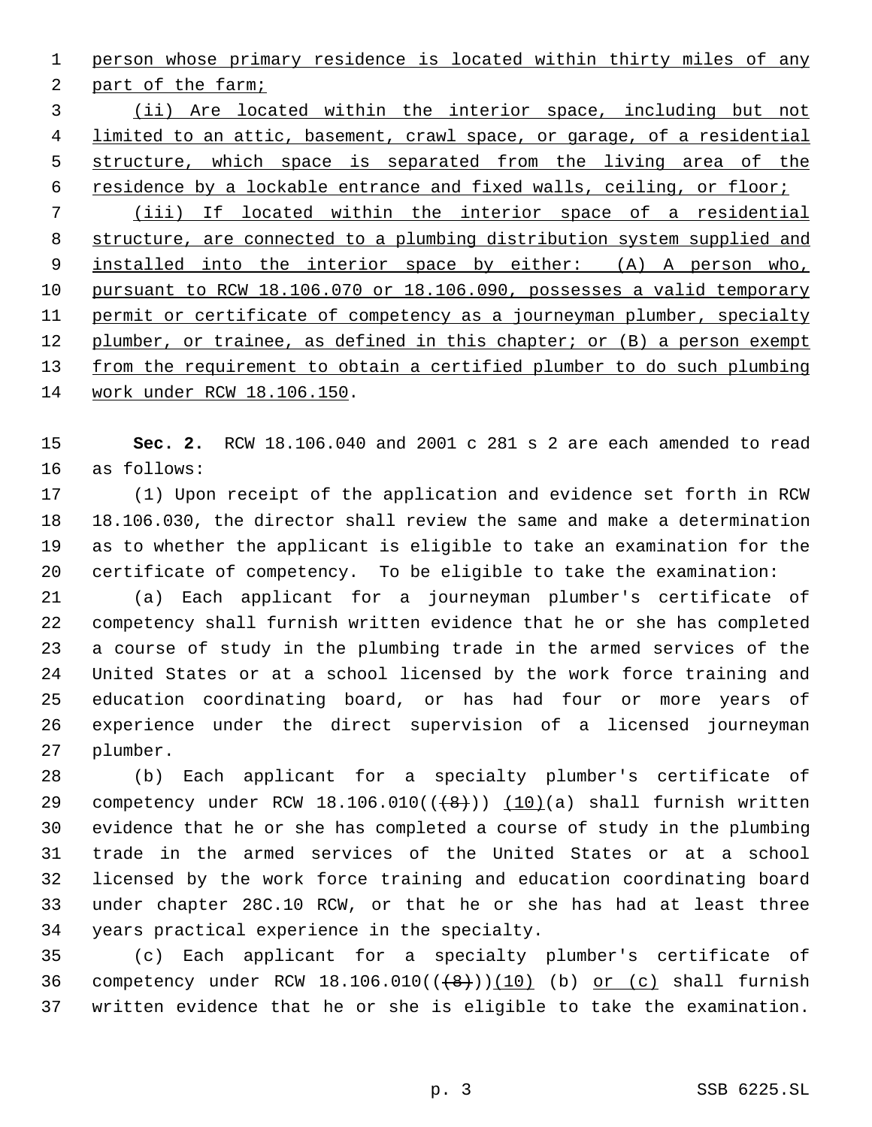person whose primary residence is located within thirty miles of any part of the farm; (ii) Are located within the interior space, including but not 4 limited to an attic, basement, crawl space, or garage, of a residential structure, which space is separated from the living area of the 6 residence by a lockable entrance and fixed walls, ceiling, or floor; (iii) If located within the interior space of a residential structure, are connected to a plumbing distribution system supplied and installed into the interior space by either: (A) A person who, pursuant to RCW 18.106.070 or 18.106.090, possesses a valid temporary 11 permit or certificate of competency as a journeyman plumber, specialty 12 plumber, or trainee, as defined in this chapter; or (B) a person exempt 13 from the requirement to obtain a certified plumber to do such plumbing work under RCW 18.106.150.

 **Sec. 2.** RCW 18.106.040 and 2001 c 281 s 2 are each amended to read as follows:

 (1) Upon receipt of the application and evidence set forth in RCW 18.106.030, the director shall review the same and make a determination as to whether the applicant is eligible to take an examination for the certificate of competency. To be eligible to take the examination:

 (a) Each applicant for a journeyman plumber's certificate of competency shall furnish written evidence that he or she has completed a course of study in the plumbing trade in the armed services of the United States or at a school licensed by the work force training and education coordinating board, or has had four or more years of experience under the direct supervision of a licensed journeyman plumber.

 (b) Each applicant for a specialty plumber's certificate of 29 competency under RCW  $18.106.010((\{8\})) (10)(a)$  shall furnish written evidence that he or she has completed a course of study in the plumbing trade in the armed services of the United States or at a school licensed by the work force training and education coordinating board under chapter 28C.10 RCW, or that he or she has had at least three years practical experience in the specialty.

 (c) Each applicant for a specialty plumber's certificate of 36 competency under RCW  $18.106.010((+8+))(10)$  (b) or (c) shall furnish written evidence that he or she is eligible to take the examination.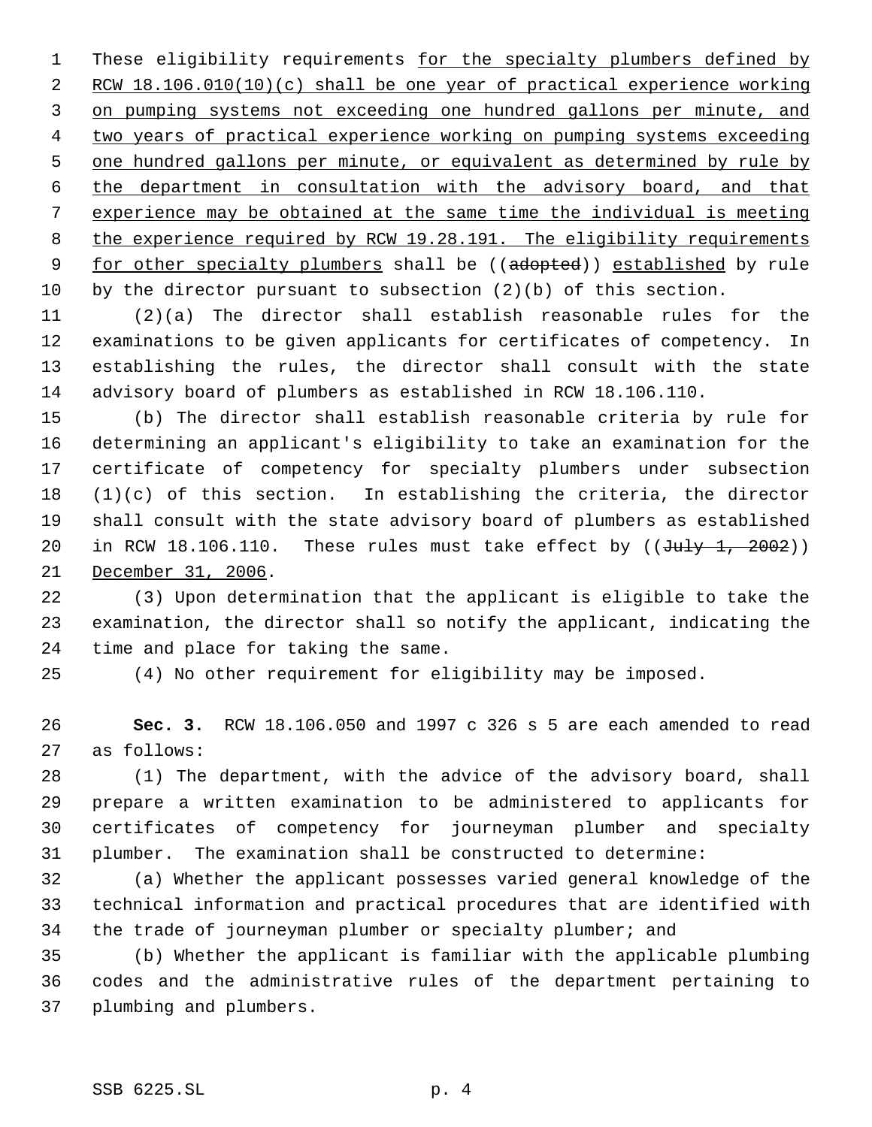1 These eligibility requirements for the specialty plumbers defined by 2 RCW 18.106.010(10)(c) shall be one year of practical experience working on pumping systems not exceeding one hundred gallons per minute, and two years of practical experience working on pumping systems exceeding 5 one hundred gallons per minute, or equivalent as determined by rule by the department in consultation with the advisory board, and that experience may be obtained at the same time the individual is meeting the experience required by RCW 19.28.191. The eligibility requirements 9 for other specialty plumbers shall be ((adopted)) established by rule by the director pursuant to subsection (2)(b) of this section.

 (2)(a) The director shall establish reasonable rules for the examinations to be given applicants for certificates of competency. In establishing the rules, the director shall consult with the state advisory board of plumbers as established in RCW 18.106.110.

 (b) The director shall establish reasonable criteria by rule for determining an applicant's eligibility to take an examination for the certificate of competency for specialty plumbers under subsection (1)(c) of this section. In establishing the criteria, the director shall consult with the state advisory board of plumbers as established 20 in RCW 18.106.110. These rules must take effect by  $((\text{J~~uly 1, 2002~~))$ December 31, 2006.

 (3) Upon determination that the applicant is eligible to take the examination, the director shall so notify the applicant, indicating the time and place for taking the same.

(4) No other requirement for eligibility may be imposed.

 **Sec. 3.** RCW 18.106.050 and 1997 c 326 s 5 are each amended to read as follows:

 (1) The department, with the advice of the advisory board, shall prepare a written examination to be administered to applicants for certificates of competency for journeyman plumber and specialty plumber. The examination shall be constructed to determine:

 (a) Whether the applicant possesses varied general knowledge of the technical information and practical procedures that are identified with the trade of journeyman plumber or specialty plumber; and

 (b) Whether the applicant is familiar with the applicable plumbing codes and the administrative rules of the department pertaining to plumbing and plumbers.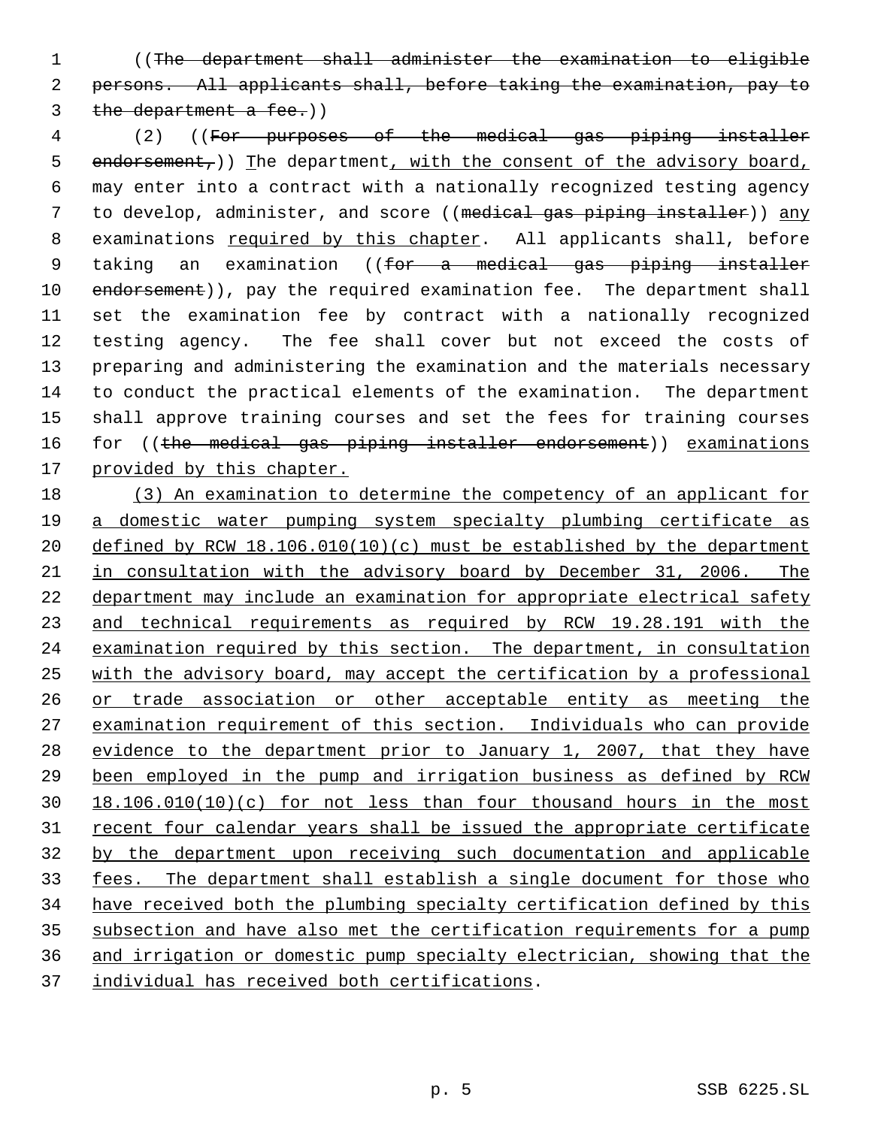((The department shall administer the examination to eligible persons. All applicants shall, before taking the examination, pay to 3 the department a fee.))

 (2) ((For purposes of the medical gas piping installer 5 endorsement,)) The department, with the consent of the advisory board, may enter into a contract with a nationally recognized testing agency to develop, administer, and score ((medical gas piping installer)) any examinations required by this chapter. All applicants shall, before 9 taking an examination ((for a medical gas piping installer 10 endorsement)), pay the required examination fee. The department shall set the examination fee by contract with a nationally recognized testing agency. The fee shall cover but not exceed the costs of preparing and administering the examination and the materials necessary to conduct the practical elements of the examination. The department shall approve training courses and set the fees for training courses 16 for ((the medical gas piping installer endorsement)) examinations 17 provided by this chapter.

 (3) An examination to determine the competency of an applicant for a domestic water pumping system specialty plumbing certificate as 20 defined by RCW 18.106.010(10)(c) must be established by the department in consultation with the advisory board by December 31, 2006. The department may include an examination for appropriate electrical safety and technical requirements as required by RCW 19.28.191 with the examination required by this section. The department, in consultation with the advisory board, may accept the certification by a professional 26 or trade association or other acceptable entity as meeting the examination requirement of this section. Individuals who can provide evidence to the department prior to January 1, 2007, that they have been employed in the pump and irrigation business as defined by RCW 18.106.010(10)(c) for not less than four thousand hours in the most 31 recent four calendar years shall be issued the appropriate certificate by the department upon receiving such documentation and applicable fees. The department shall establish a single document for those who have received both the plumbing specialty certification defined by this subsection and have also met the certification requirements for a pump and irrigation or domestic pump specialty electrician, showing that the individual has received both certifications.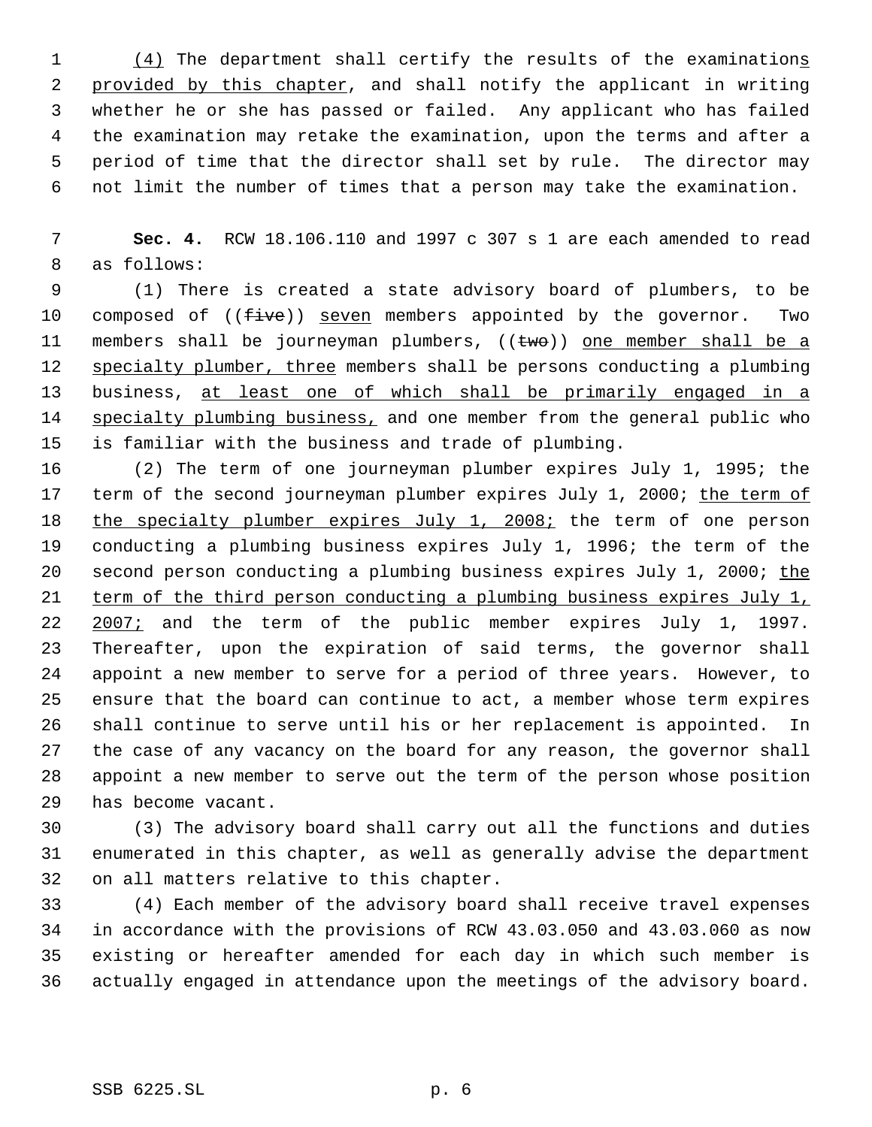(4) The department shall certify the results of the examinations 2 provided by this chapter, and shall notify the applicant in writing whether he or she has passed or failed. Any applicant who has failed the examination may retake the examination, upon the terms and after a period of time that the director shall set by rule. The director may not limit the number of times that a person may take the examination.

 **Sec. 4.** RCW 18.106.110 and 1997 c 307 s 1 are each amended to read as follows:

 (1) There is created a state advisory board of plumbers, to be 10 composed of ((five)) seven members appointed by the governor. Two 11 members shall be journeyman plumbers,  $((two))$  one member shall be a 12 specialty plumber, three members shall be persons conducting a plumbing business, at least one of which shall be primarily engaged in a 14 specialty plumbing business, and one member from the general public who is familiar with the business and trade of plumbing.

 (2) The term of one journeyman plumber expires July 1, 1995; the 17 term of the second journeyman plumber expires July 1, 2000; the term of 18 the specialty plumber expires July 1, 2008; the term of one person conducting a plumbing business expires July 1, 1996; the term of the second person conducting a plumbing business expires July 1, 2000; the term of the third person conducting a plumbing business expires July 1, 22 2007; and the term of the public member expires July 1, 1997. Thereafter, upon the expiration of said terms, the governor shall appoint a new member to serve for a period of three years. However, to ensure that the board can continue to act, a member whose term expires shall continue to serve until his or her replacement is appointed. In the case of any vacancy on the board for any reason, the governor shall appoint a new member to serve out the term of the person whose position has become vacant.

 (3) The advisory board shall carry out all the functions and duties enumerated in this chapter, as well as generally advise the department on all matters relative to this chapter.

 (4) Each member of the advisory board shall receive travel expenses in accordance with the provisions of RCW 43.03.050 and 43.03.060 as now existing or hereafter amended for each day in which such member is actually engaged in attendance upon the meetings of the advisory board.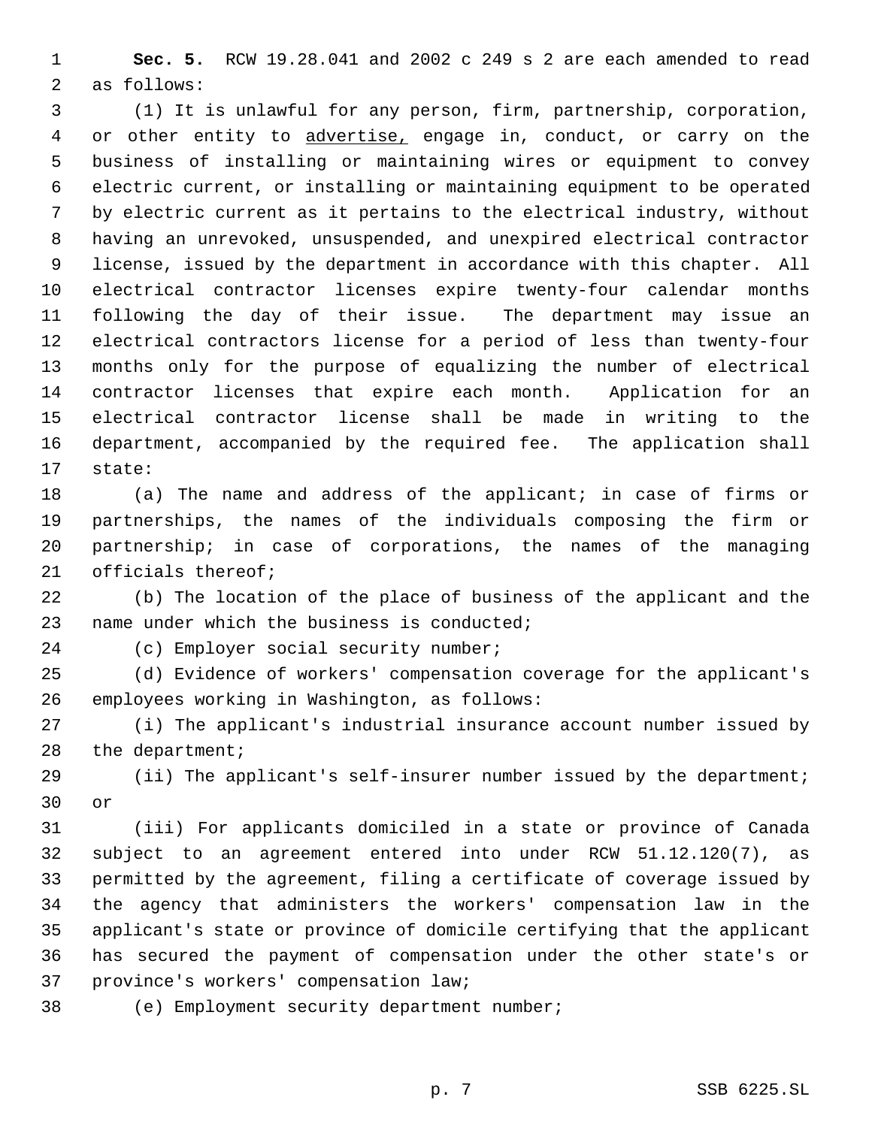**Sec. 5.** RCW 19.28.041 and 2002 c 249 s 2 are each amended to read as follows:

 (1) It is unlawful for any person, firm, partnership, corporation, 4 or other entity to advertise, engage in, conduct, or carry on the business of installing or maintaining wires or equipment to convey electric current, or installing or maintaining equipment to be operated by electric current as it pertains to the electrical industry, without having an unrevoked, unsuspended, and unexpired electrical contractor license, issued by the department in accordance with this chapter. All electrical contractor licenses expire twenty-four calendar months following the day of their issue. The department may issue an electrical contractors license for a period of less than twenty-four months only for the purpose of equalizing the number of electrical contractor licenses that expire each month. Application for an electrical contractor license shall be made in writing to the department, accompanied by the required fee. The application shall state:

 (a) The name and address of the applicant; in case of firms or partnerships, the names of the individuals composing the firm or partnership; in case of corporations, the names of the managing officials thereof;

 (b) The location of the place of business of the applicant and the name under which the business is conducted;

(c) Employer social security number;

 (d) Evidence of workers' compensation coverage for the applicant's employees working in Washington, as follows:

 (i) The applicant's industrial insurance account number issued by 28 the department;

 (ii) The applicant's self-insurer number issued by the department; or

 (iii) For applicants domiciled in a state or province of Canada subject to an agreement entered into under RCW 51.12.120(7), as permitted by the agreement, filing a certificate of coverage issued by the agency that administers the workers' compensation law in the applicant's state or province of domicile certifying that the applicant has secured the payment of compensation under the other state's or province's workers' compensation law;

(e) Employment security department number;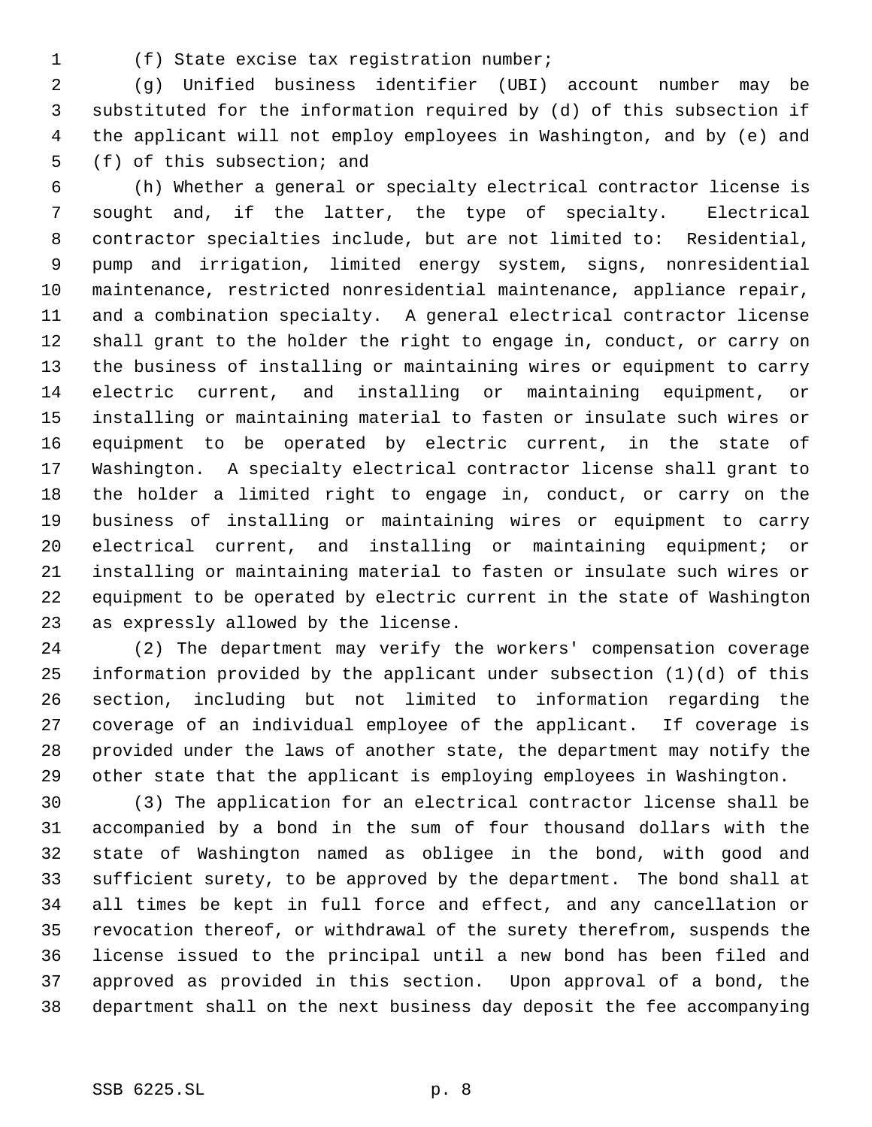- 
- (f) State excise tax registration number;

 (g) Unified business identifier (UBI) account number may be substituted for the information required by (d) of this subsection if the applicant will not employ employees in Washington, and by (e) and (f) of this subsection; and

 (h) Whether a general or specialty electrical contractor license is sought and, if the latter, the type of specialty. Electrical contractor specialties include, but are not limited to: Residential, pump and irrigation, limited energy system, signs, nonresidential maintenance, restricted nonresidential maintenance, appliance repair, and a combination specialty. A general electrical contractor license shall grant to the holder the right to engage in, conduct, or carry on the business of installing or maintaining wires or equipment to carry electric current, and installing or maintaining equipment, or installing or maintaining material to fasten or insulate such wires or equipment to be operated by electric current, in the state of Washington. A specialty electrical contractor license shall grant to the holder a limited right to engage in, conduct, or carry on the business of installing or maintaining wires or equipment to carry electrical current, and installing or maintaining equipment; or installing or maintaining material to fasten or insulate such wires or equipment to be operated by electric current in the state of Washington as expressly allowed by the license.

 (2) The department may verify the workers' compensation coverage information provided by the applicant under subsection (1)(d) of this section, including but not limited to information regarding the coverage of an individual employee of the applicant. If coverage is provided under the laws of another state, the department may notify the other state that the applicant is employing employees in Washington.

 (3) The application for an electrical contractor license shall be accompanied by a bond in the sum of four thousand dollars with the state of Washington named as obligee in the bond, with good and sufficient surety, to be approved by the department. The bond shall at all times be kept in full force and effect, and any cancellation or revocation thereof, or withdrawal of the surety therefrom, suspends the license issued to the principal until a new bond has been filed and approved as provided in this section. Upon approval of a bond, the department shall on the next business day deposit the fee accompanying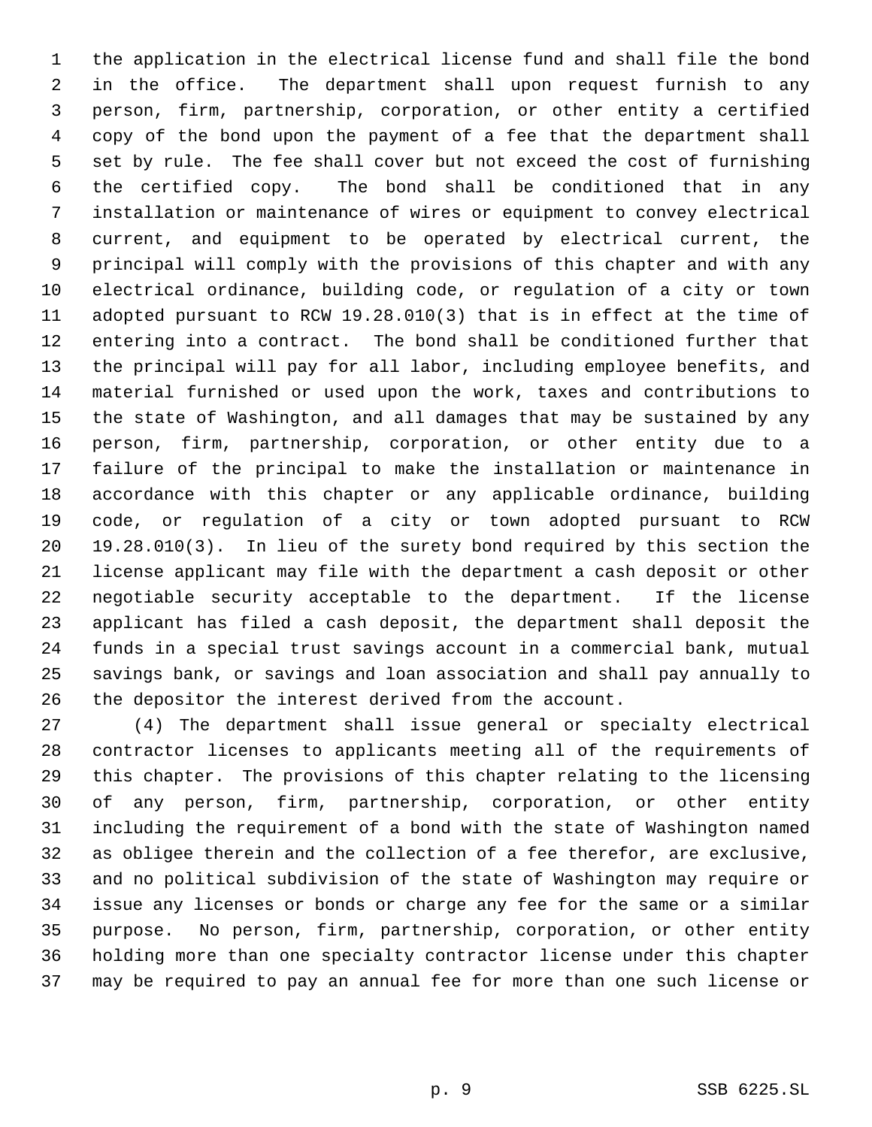the application in the electrical license fund and shall file the bond in the office. The department shall upon request furnish to any person, firm, partnership, corporation, or other entity a certified copy of the bond upon the payment of a fee that the department shall set by rule. The fee shall cover but not exceed the cost of furnishing the certified copy. The bond shall be conditioned that in any installation or maintenance of wires or equipment to convey electrical current, and equipment to be operated by electrical current, the principal will comply with the provisions of this chapter and with any electrical ordinance, building code, or regulation of a city or town adopted pursuant to RCW 19.28.010(3) that is in effect at the time of entering into a contract. The bond shall be conditioned further that the principal will pay for all labor, including employee benefits, and material furnished or used upon the work, taxes and contributions to the state of Washington, and all damages that may be sustained by any person, firm, partnership, corporation, or other entity due to a failure of the principal to make the installation or maintenance in accordance with this chapter or any applicable ordinance, building code, or regulation of a city or town adopted pursuant to RCW 19.28.010(3). In lieu of the surety bond required by this section the license applicant may file with the department a cash deposit or other negotiable security acceptable to the department. If the license applicant has filed a cash deposit, the department shall deposit the funds in a special trust savings account in a commercial bank, mutual savings bank, or savings and loan association and shall pay annually to the depositor the interest derived from the account.

 (4) The department shall issue general or specialty electrical contractor licenses to applicants meeting all of the requirements of this chapter. The provisions of this chapter relating to the licensing of any person, firm, partnership, corporation, or other entity including the requirement of a bond with the state of Washington named as obligee therein and the collection of a fee therefor, are exclusive, and no political subdivision of the state of Washington may require or issue any licenses or bonds or charge any fee for the same or a similar purpose. No person, firm, partnership, corporation, or other entity holding more than one specialty contractor license under this chapter may be required to pay an annual fee for more than one such license or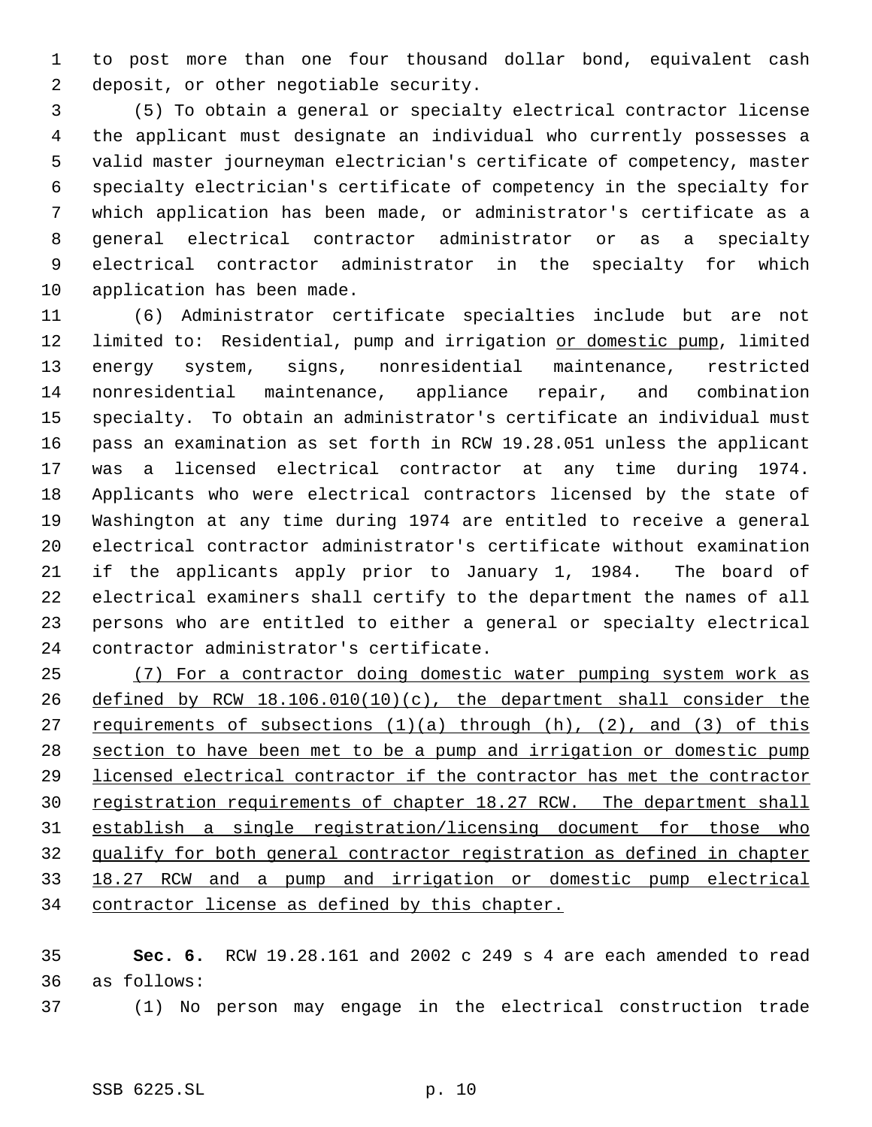to post more than one four thousand dollar bond, equivalent cash deposit, or other negotiable security.

 (5) To obtain a general or specialty electrical contractor license the applicant must designate an individual who currently possesses a valid master journeyman electrician's certificate of competency, master specialty electrician's certificate of competency in the specialty for which application has been made, or administrator's certificate as a general electrical contractor administrator or as a specialty electrical contractor administrator in the specialty for which application has been made.

 (6) Administrator certificate specialties include but are not 12 limited to: Residential, pump and irrigation or domestic pump, limited energy system, signs, nonresidential maintenance, restricted nonresidential maintenance, appliance repair, and combination specialty. To obtain an administrator's certificate an individual must pass an examination as set forth in RCW 19.28.051 unless the applicant was a licensed electrical contractor at any time during 1974. Applicants who were electrical contractors licensed by the state of Washington at any time during 1974 are entitled to receive a general electrical contractor administrator's certificate without examination if the applicants apply prior to January 1, 1984. The board of electrical examiners shall certify to the department the names of all persons who are entitled to either a general or specialty electrical contractor administrator's certificate.

 (7) For a contractor doing domestic water pumping system work as defined by RCW 18.106.010(10)(c), the department shall consider the 27 requirements of subsections  $(1)(a)$  through  $(h)$ ,  $(2)$ , and  $(3)$  of this section to have been met to be a pump and irrigation or domestic pump licensed electrical contractor if the contractor has met the contractor 30 registration requirements of chapter 18.27 RCW. The department shall establish a single registration/licensing document for those who qualify for both general contractor registration as defined in chapter 18.27 RCW and a pump and irrigation or domestic pump electrical 34 contractor license as defined by this chapter.

 **Sec. 6.** RCW 19.28.161 and 2002 c 249 s 4 are each amended to read as follows:

(1) No person may engage in the electrical construction trade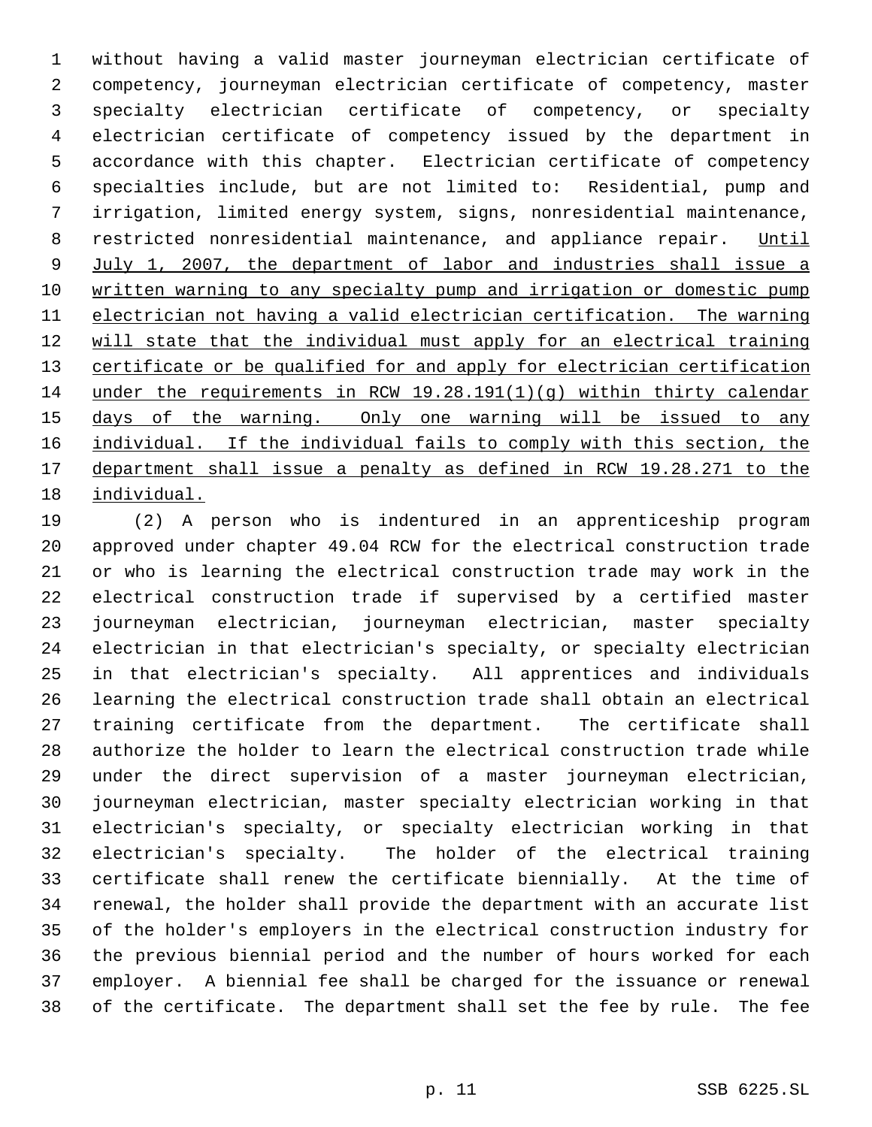without having a valid master journeyman electrician certificate of competency, journeyman electrician certificate of competency, master specialty electrician certificate of competency, or specialty electrician certificate of competency issued by the department in accordance with this chapter. Electrician certificate of competency specialties include, but are not limited to: Residential, pump and irrigation, limited energy system, signs, nonresidential maintenance, 8 restricted nonresidential maintenance, and appliance repair. Until July 1, 2007, the department of labor and industries shall issue a written warning to any specialty pump and irrigation or domestic pump electrician not having a valid electrician certification. The warning 12 will state that the individual must apply for an electrical training 13 certificate or be qualified for and apply for electrician certification under the requirements in RCW 19.28.191(1)(g) within thirty calendar 15 days of the warning. Only one warning will be issued to any individual. If the individual fails to comply with this section, the department shall issue a penalty as defined in RCW 19.28.271 to the individual.

 (2) A person who is indentured in an apprenticeship program approved under chapter 49.04 RCW for the electrical construction trade or who is learning the electrical construction trade may work in the electrical construction trade if supervised by a certified master journeyman electrician, journeyman electrician, master specialty electrician in that electrician's specialty, or specialty electrician in that electrician's specialty. All apprentices and individuals learning the electrical construction trade shall obtain an electrical training certificate from the department. The certificate shall authorize the holder to learn the electrical construction trade while under the direct supervision of a master journeyman electrician, journeyman electrician, master specialty electrician working in that electrician's specialty, or specialty electrician working in that electrician's specialty. The holder of the electrical training certificate shall renew the certificate biennially. At the time of renewal, the holder shall provide the department with an accurate list of the holder's employers in the electrical construction industry for the previous biennial period and the number of hours worked for each employer. A biennial fee shall be charged for the issuance or renewal of the certificate. The department shall set the fee by rule. The fee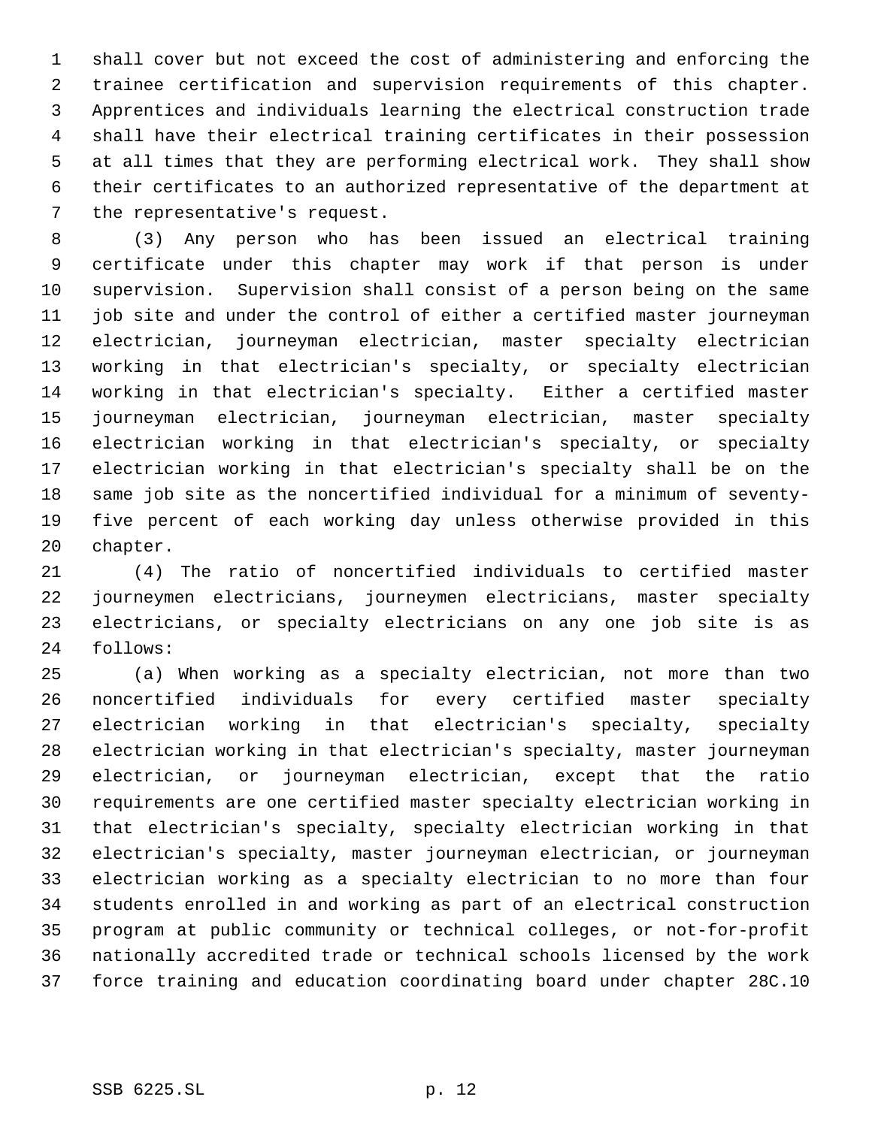shall cover but not exceed the cost of administering and enforcing the trainee certification and supervision requirements of this chapter. Apprentices and individuals learning the electrical construction trade shall have their electrical training certificates in their possession at all times that they are performing electrical work. They shall show their certificates to an authorized representative of the department at the representative's request.

 (3) Any person who has been issued an electrical training certificate under this chapter may work if that person is under supervision. Supervision shall consist of a person being on the same job site and under the control of either a certified master journeyman electrician, journeyman electrician, master specialty electrician working in that electrician's specialty, or specialty electrician working in that electrician's specialty. Either a certified master journeyman electrician, journeyman electrician, master specialty electrician working in that electrician's specialty, or specialty electrician working in that electrician's specialty shall be on the same job site as the noncertified individual for a minimum of seventy- five percent of each working day unless otherwise provided in this chapter.

 (4) The ratio of noncertified individuals to certified master journeymen electricians, journeymen electricians, master specialty electricians, or specialty electricians on any one job site is as follows:

 (a) When working as a specialty electrician, not more than two noncertified individuals for every certified master specialty electrician working in that electrician's specialty, specialty electrician working in that electrician's specialty, master journeyman electrician, or journeyman electrician, except that the ratio requirements are one certified master specialty electrician working in that electrician's specialty, specialty electrician working in that electrician's specialty, master journeyman electrician, or journeyman electrician working as a specialty electrician to no more than four students enrolled in and working as part of an electrical construction program at public community or technical colleges, or not-for-profit nationally accredited trade or technical schools licensed by the work force training and education coordinating board under chapter 28C.10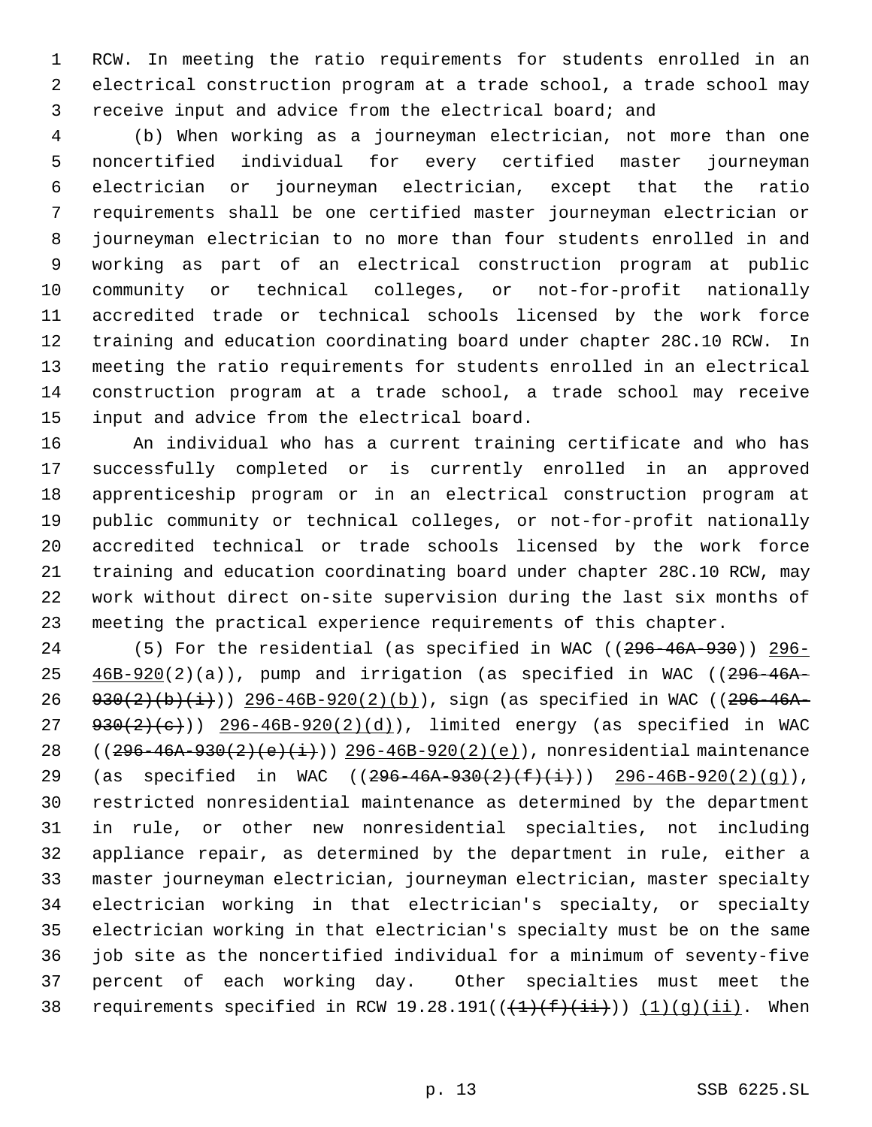RCW. In meeting the ratio requirements for students enrolled in an electrical construction program at a trade school, a trade school may receive input and advice from the electrical board; and

 (b) When working as a journeyman electrician, not more than one noncertified individual for every certified master journeyman electrician or journeyman electrician, except that the ratio requirements shall be one certified master journeyman electrician or journeyman electrician to no more than four students enrolled in and working as part of an electrical construction program at public community or technical colleges, or not-for-profit nationally accredited trade or technical schools licensed by the work force training and education coordinating board under chapter 28C.10 RCW. In meeting the ratio requirements for students enrolled in an electrical construction program at a trade school, a trade school may receive input and advice from the electrical board.

 An individual who has a current training certificate and who has successfully completed or is currently enrolled in an approved apprenticeship program or in an electrical construction program at public community or technical colleges, or not-for-profit nationally accredited technical or trade schools licensed by the work force training and education coordinating board under chapter 28C.10 RCW, may work without direct on-site supervision during the last six months of meeting the practical experience requirements of this chapter.

24 (5) For the residential (as specified in WAC ((296-46A-930)) 296- $25 \frac{46B-920(2)(a)}{a}$ , pump and irrigation (as specified in WAC ((296-46A-26 930(2)(b)(i)) 296-46B-920(2)(b)), sign (as specified in WAC ((296-46A-  $930(2)(e))$   $296-46B-920(2)(d))$ , limited energy (as specified in WAC 28 ( $(296-46A-930(2)(e)(i))$ ) 296-46B-920(2)(e)), nonresidential maintenance 29 (as specified in WAC  $((296-46A-930(2)(f)(i)))$   $296-46B-920(2)(g))$ , restricted nonresidential maintenance as determined by the department in rule, or other new nonresidential specialties, not including appliance repair, as determined by the department in rule, either a master journeyman electrician, journeyman electrician, master specialty electrician working in that electrician's specialty, or specialty electrician working in that electrician's specialty must be on the same job site as the noncertified individual for a minimum of seventy-five percent of each working day. Other specialties must meet the 38 requirements specified in RCW 19.28.191( $(\frac{1}{(1)}(\frac{f}{f}+\frac{i}{i})$ )  $(1)(g)(ii)$ . When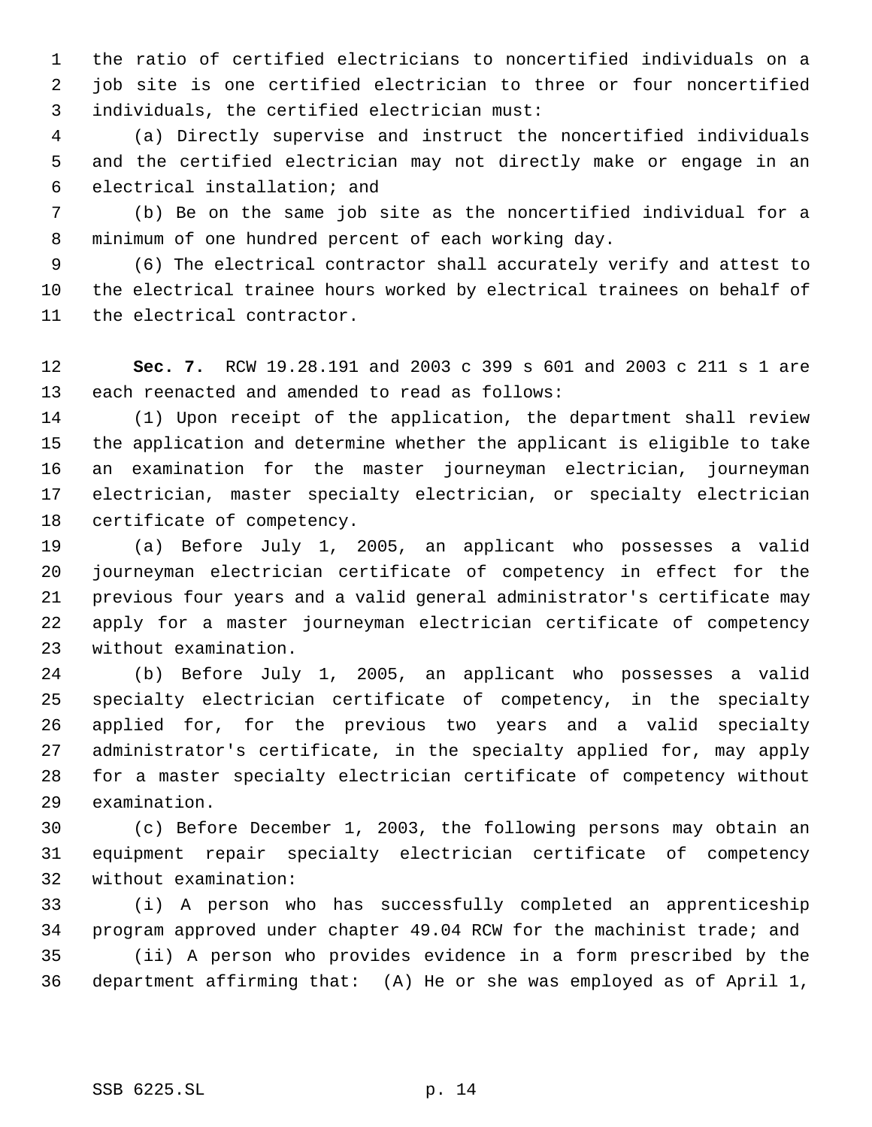the ratio of certified electricians to noncertified individuals on a job site is one certified electrician to three or four noncertified individuals, the certified electrician must:

 (a) Directly supervise and instruct the noncertified individuals and the certified electrician may not directly make or engage in an electrical installation; and

 (b) Be on the same job site as the noncertified individual for a minimum of one hundred percent of each working day.

 (6) The electrical contractor shall accurately verify and attest to the electrical trainee hours worked by electrical trainees on behalf of the electrical contractor.

 **Sec. 7.** RCW 19.28.191 and 2003 c 399 s 601 and 2003 c 211 s 1 are each reenacted and amended to read as follows:

 (1) Upon receipt of the application, the department shall review the application and determine whether the applicant is eligible to take an examination for the master journeyman electrician, journeyman electrician, master specialty electrician, or specialty electrician certificate of competency.

 (a) Before July 1, 2005, an applicant who possesses a valid journeyman electrician certificate of competency in effect for the previous four years and a valid general administrator's certificate may apply for a master journeyman electrician certificate of competency without examination.

 (b) Before July 1, 2005, an applicant who possesses a valid specialty electrician certificate of competency, in the specialty applied for, for the previous two years and a valid specialty administrator's certificate, in the specialty applied for, may apply for a master specialty electrician certificate of competency without examination.

 (c) Before December 1, 2003, the following persons may obtain an equipment repair specialty electrician certificate of competency without examination:

 (i) A person who has successfully completed an apprenticeship program approved under chapter 49.04 RCW for the machinist trade; and (ii) A person who provides evidence in a form prescribed by the department affirming that: (A) He or she was employed as of April 1,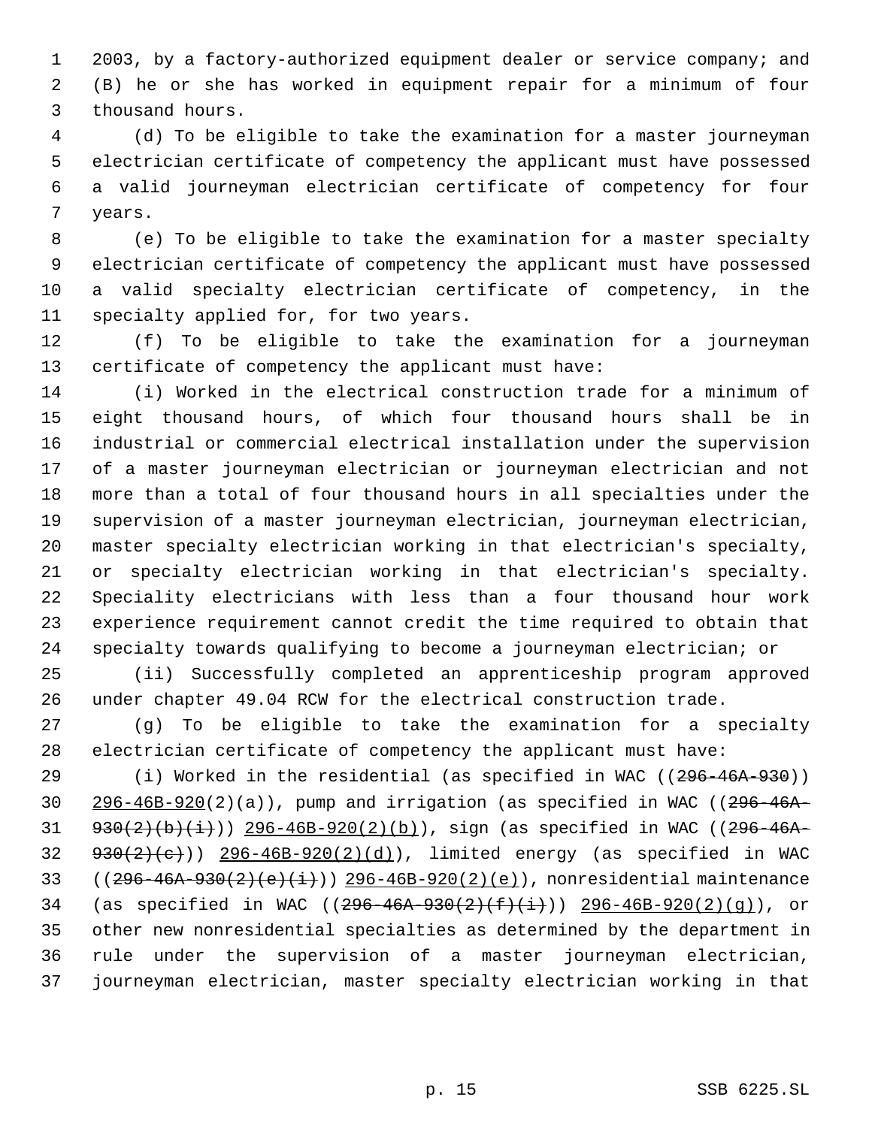2003, by a factory-authorized equipment dealer or service company; and (B) he or she has worked in equipment repair for a minimum of four thousand hours.

 (d) To be eligible to take the examination for a master journeyman electrician certificate of competency the applicant must have possessed a valid journeyman electrician certificate of competency for four years.

 (e) To be eligible to take the examination for a master specialty electrician certificate of competency the applicant must have possessed a valid specialty electrician certificate of competency, in the specialty applied for, for two years.

 (f) To be eligible to take the examination for a journeyman certificate of competency the applicant must have:

 (i) Worked in the electrical construction trade for a minimum of eight thousand hours, of which four thousand hours shall be in industrial or commercial electrical installation under the supervision of a master journeyman electrician or journeyman electrician and not more than a total of four thousand hours in all specialties under the supervision of a master journeyman electrician, journeyman electrician, master specialty electrician working in that electrician's specialty, or specialty electrician working in that electrician's specialty. Speciality electricians with less than a four thousand hour work experience requirement cannot credit the time required to obtain that specialty towards qualifying to become a journeyman electrician; or

 (ii) Successfully completed an apprenticeship program approved under chapter 49.04 RCW for the electrical construction trade.

 (g) To be eligible to take the examination for a specialty electrician certificate of competency the applicant must have:

29 (i) Worked in the residential (as specified in WAC ((296-46A-930))  $296-46B-920(2)(a)$ , pump and irrigation (as specified in WAC (( $296-46A 930(2)(b)(i))$  296-46B-920(2)(b)), sign (as specified in WAC ((296-46A-  $930(2)(e))$   $296-46B-920(2)(d))$ , limited energy (as specified in WAC 33 ( $(296-46A-930(2)(e)(i))$ ) 296-46B-920(2)(e)), nonresidential maintenance 34 (as specified in WAC  $((296-46A-930(2)(f+(i+)))$   $296-46B-920(2)(g))$ , or other new nonresidential specialties as determined by the department in rule under the supervision of a master journeyman electrician, journeyman electrician, master specialty electrician working in that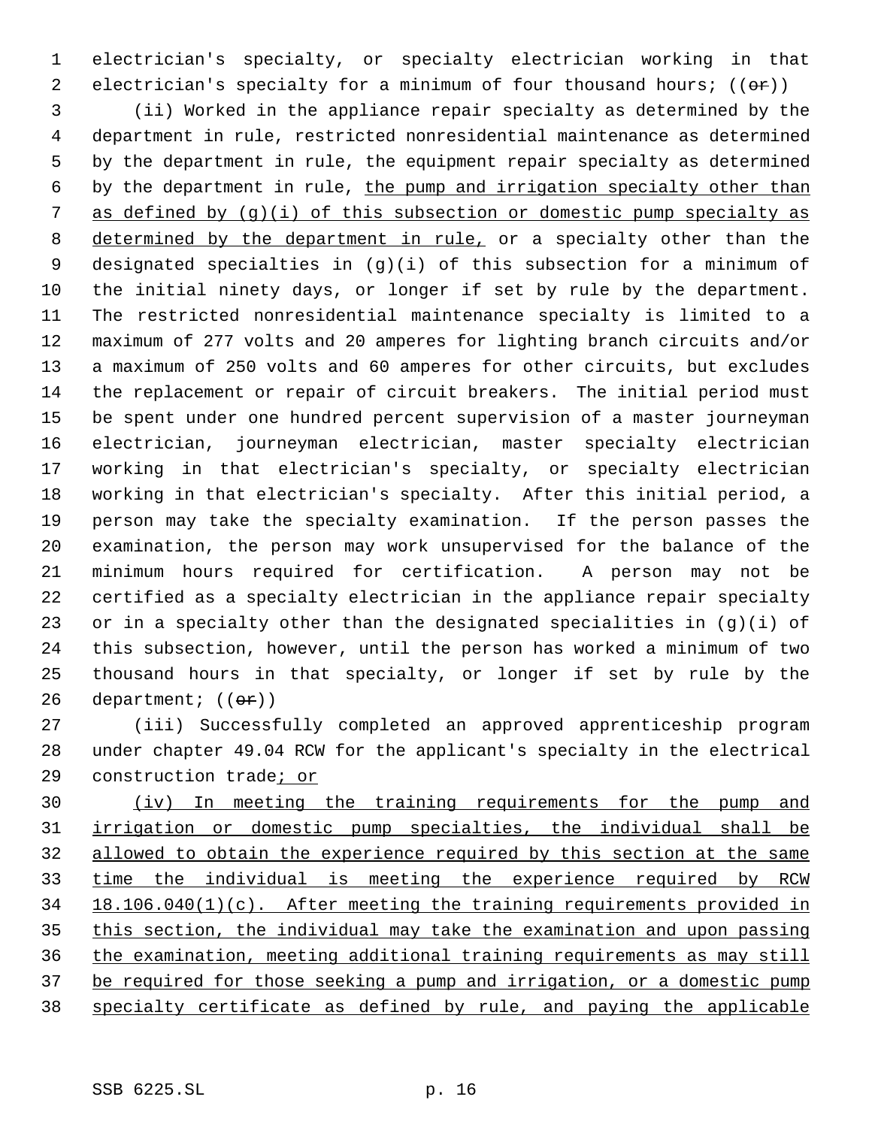electrician's specialty, or specialty electrician working in that 2 electrician's specialty for a minimum of four thousand hours;  $((\theta \cdot \mathbf{r}))$ 

 (ii) Worked in the appliance repair specialty as determined by the department in rule, restricted nonresidential maintenance as determined by the department in rule, the equipment repair specialty as determined by the department in rule, the pump and irrigation specialty other than 7 as defined by  $(q)(i)$  of this subsection or domestic pump specialty as 8 determined by the department in rule, or a specialty other than the designated specialties in (g)(i) of this subsection for a minimum of the initial ninety days, or longer if set by rule by the department. The restricted nonresidential maintenance specialty is limited to a maximum of 277 volts and 20 amperes for lighting branch circuits and/or a maximum of 250 volts and 60 amperes for other circuits, but excludes the replacement or repair of circuit breakers. The initial period must be spent under one hundred percent supervision of a master journeyman electrician, journeyman electrician, master specialty electrician working in that electrician's specialty, or specialty electrician working in that electrician's specialty. After this initial period, a person may take the specialty examination. If the person passes the examination, the person may work unsupervised for the balance of the minimum hours required for certification. A person may not be certified as a specialty electrician in the appliance repair specialty or in a specialty other than the designated specialities in (g)(i) of this subsection, however, until the person has worked a minimum of two thousand hours in that specialty, or longer if set by rule by the 26 department;  $((\theta \cdot \hat{r}))$ 

 (iii) Successfully completed an approved apprenticeship program under chapter 49.04 RCW for the applicant's specialty in the electrical construction trade; or

 (iv) In meeting the training requirements for the pump and irrigation or domestic pump specialties, the individual shall be 32 allowed to obtain the experience required by this section at the same time the individual is meeting the experience required by RCW 18.106.040(1)(c). After meeting the training requirements provided in this section, the individual may take the examination and upon passing the examination, meeting additional training requirements as may still 37 be required for those seeking a pump and irrigation, or a domestic pump specialty certificate as defined by rule, and paying the applicable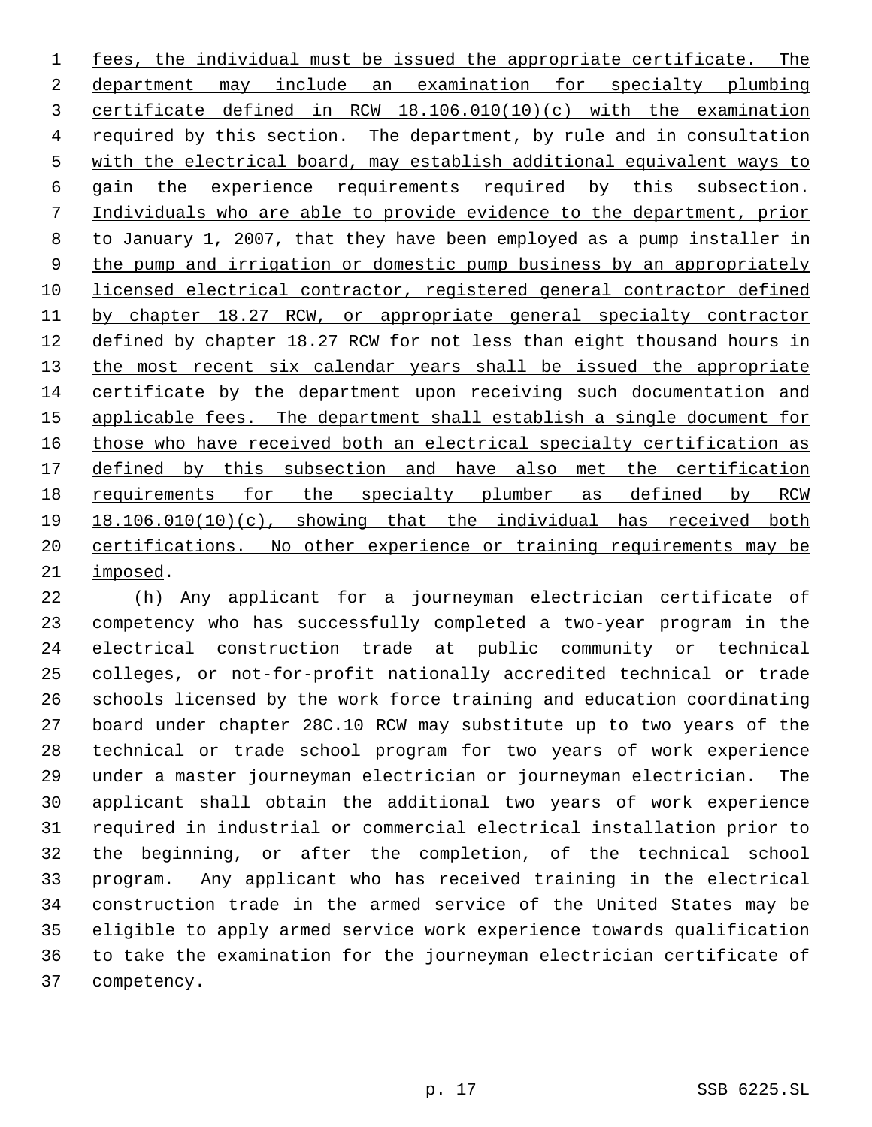fees, the individual must be issued the appropriate certificate. The department may include an examination for specialty plumbing certificate defined in RCW 18.106.010(10)(c) with the examination required by this section. The department, by rule and in consultation with the electrical board, may establish additional equivalent ways to gain the experience requirements required by this subsection. Individuals who are able to provide evidence to the department, prior to January 1, 2007, that they have been employed as a pump installer in 9 the pump and irrigation or domestic pump business by an appropriately licensed electrical contractor, registered general contractor defined by chapter 18.27 RCW, or appropriate general specialty contractor 12 defined by chapter 18.27 RCW for not less than eight thousand hours in 13 the most recent six calendar years shall be issued the appropriate certificate by the department upon receiving such documentation and applicable fees. The department shall establish a single document for 16 those who have received both an electrical specialty certification as 17 defined by this subsection and have also met the certification requirements for the specialty plumber as defined by RCW 18.106.010(10)(c), showing that the individual has received both certifications. No other experience or training requirements may be imposed.

 (h) Any applicant for a journeyman electrician certificate of competency who has successfully completed a two-year program in the electrical construction trade at public community or technical colleges, or not-for-profit nationally accredited technical or trade schools licensed by the work force training and education coordinating board under chapter 28C.10 RCW may substitute up to two years of the technical or trade school program for two years of work experience under a master journeyman electrician or journeyman electrician. The applicant shall obtain the additional two years of work experience required in industrial or commercial electrical installation prior to the beginning, or after the completion, of the technical school program. Any applicant who has received training in the electrical construction trade in the armed service of the United States may be eligible to apply armed service work experience towards qualification to take the examination for the journeyman electrician certificate of competency.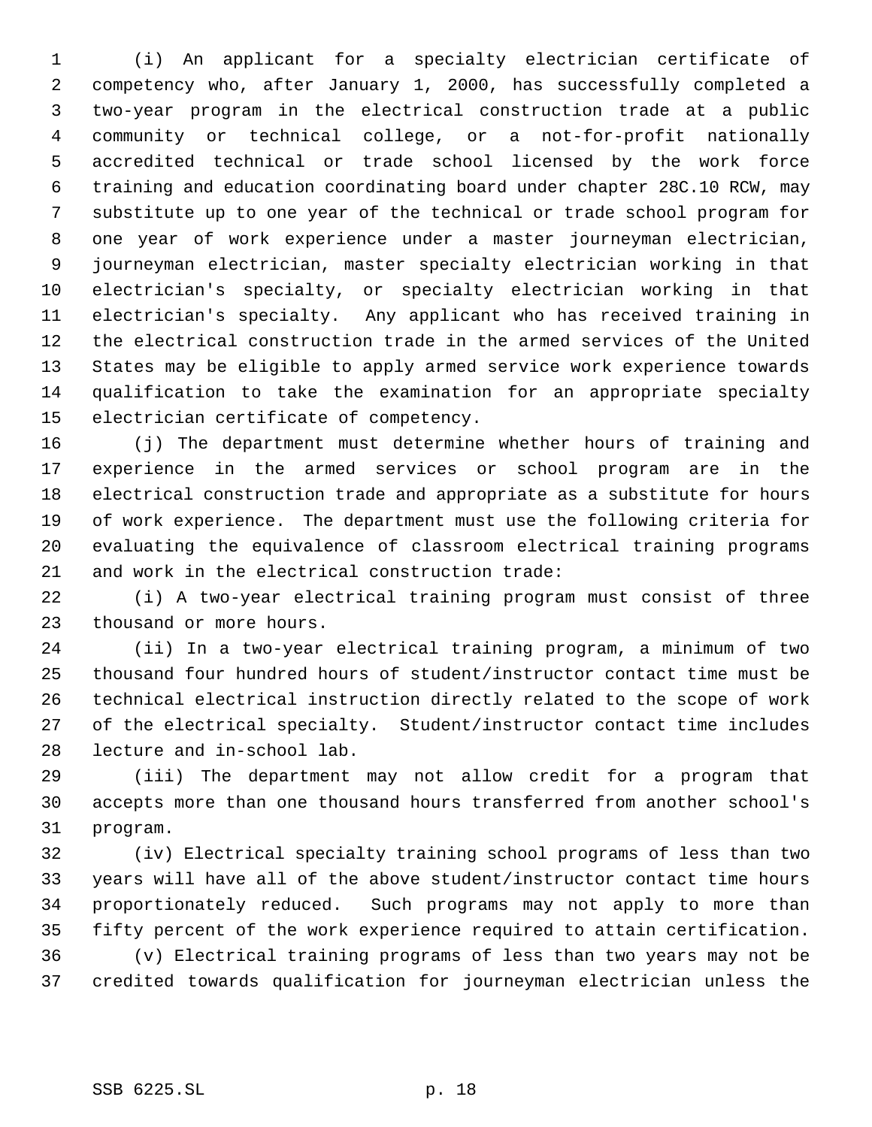(i) An applicant for a specialty electrician certificate of competency who, after January 1, 2000, has successfully completed a two-year program in the electrical construction trade at a public community or technical college, or a not-for-profit nationally accredited technical or trade school licensed by the work force training and education coordinating board under chapter 28C.10 RCW, may substitute up to one year of the technical or trade school program for one year of work experience under a master journeyman electrician, journeyman electrician, master specialty electrician working in that electrician's specialty, or specialty electrician working in that electrician's specialty. Any applicant who has received training in the electrical construction trade in the armed services of the United States may be eligible to apply armed service work experience towards qualification to take the examination for an appropriate specialty electrician certificate of competency.

 (j) The department must determine whether hours of training and experience in the armed services or school program are in the electrical construction trade and appropriate as a substitute for hours of work experience. The department must use the following criteria for evaluating the equivalence of classroom electrical training programs and work in the electrical construction trade:

 (i) A two-year electrical training program must consist of three thousand or more hours.

 (ii) In a two-year electrical training program, a minimum of two thousand four hundred hours of student/instructor contact time must be technical electrical instruction directly related to the scope of work of the electrical specialty. Student/instructor contact time includes lecture and in-school lab.

 (iii) The department may not allow credit for a program that accepts more than one thousand hours transferred from another school's program.

 (iv) Electrical specialty training school programs of less than two years will have all of the above student/instructor contact time hours proportionately reduced. Such programs may not apply to more than fifty percent of the work experience required to attain certification. (v) Electrical training programs of less than two years may not be credited towards qualification for journeyman electrician unless the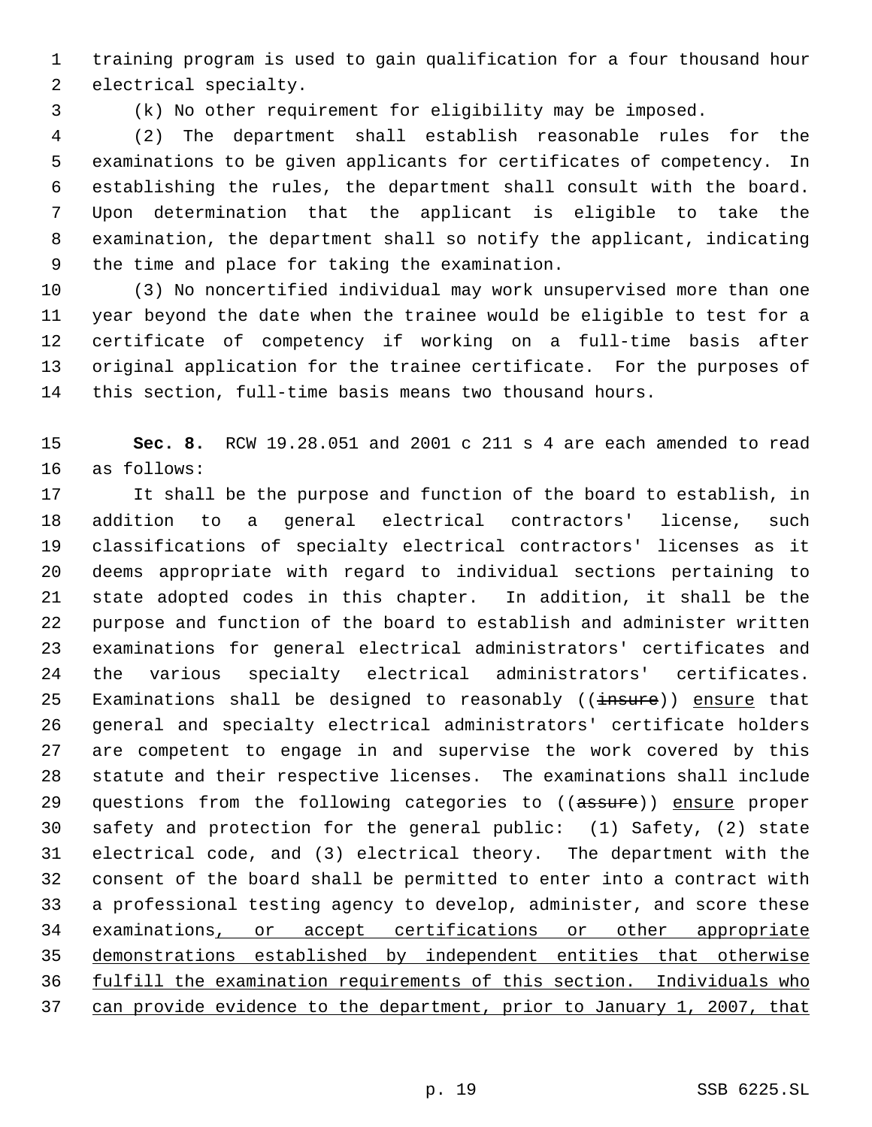training program is used to gain qualification for a four thousand hour electrical specialty.

(k) No other requirement for eligibility may be imposed.

 (2) The department shall establish reasonable rules for the examinations to be given applicants for certificates of competency. In establishing the rules, the department shall consult with the board. Upon determination that the applicant is eligible to take the examination, the department shall so notify the applicant, indicating the time and place for taking the examination.

 (3) No noncertified individual may work unsupervised more than one year beyond the date when the trainee would be eligible to test for a certificate of competency if working on a full-time basis after original application for the trainee certificate. For the purposes of this section, full-time basis means two thousand hours.

 **Sec. 8.** RCW 19.28.051 and 2001 c 211 s 4 are each amended to read as follows:

 It shall be the purpose and function of the board to establish, in addition to a general electrical contractors' license, such classifications of specialty electrical contractors' licenses as it deems appropriate with regard to individual sections pertaining to state adopted codes in this chapter. In addition, it shall be the purpose and function of the board to establish and administer written examinations for general electrical administrators' certificates and the various specialty electrical administrators' certificates. 25 Examinations shall be designed to reasonably  $((\text{insure}))$  ensure that general and specialty electrical administrators' certificate holders are competent to engage in and supervise the work covered by this statute and their respective licenses. The examinations shall include 29 questions from the following categories to ((assure)) ensure proper safety and protection for the general public: (1) Safety, (2) state electrical code, and (3) electrical theory. The department with the consent of the board shall be permitted to enter into a contract with a professional testing agency to develop, administer, and score these 34 examinations, or accept certifications or other appropriate demonstrations established by independent entities that otherwise fulfill the examination requirements of this section. Individuals who can provide evidence to the department, prior to January 1, 2007, that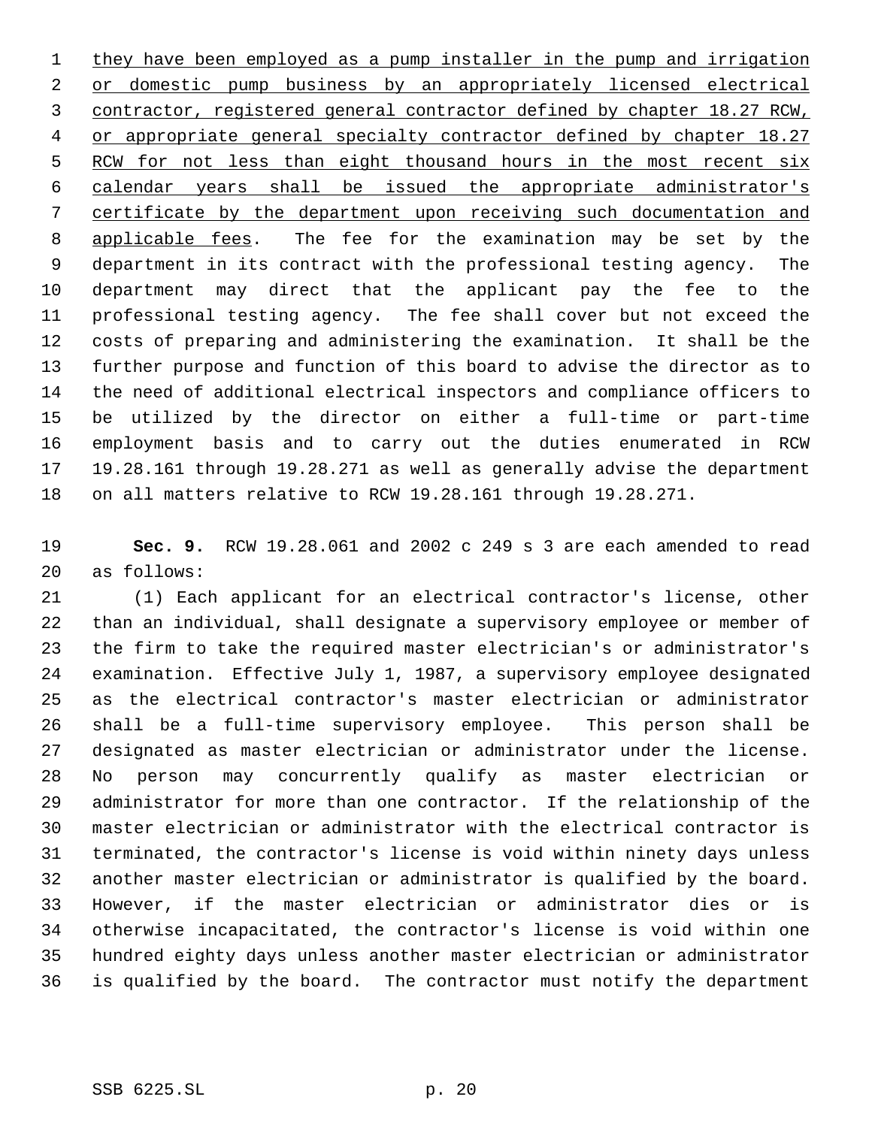1 they have been employed as a pump installer in the pump and irrigation 2 or domestic pump business by an appropriately licensed electrical contractor, registered general contractor defined by chapter 18.27 RCW, 4 or appropriate general specialty contractor defined by chapter 18.27 5 RCW for not less than eight thousand hours in the most recent six calendar years shall be issued the appropriate administrator's certificate by the department upon receiving such documentation and 8 applicable fees. The fee for the examination may be set by the department in its contract with the professional testing agency. The department may direct that the applicant pay the fee to the professional testing agency. The fee shall cover but not exceed the costs of preparing and administering the examination. It shall be the further purpose and function of this board to advise the director as to the need of additional electrical inspectors and compliance officers to be utilized by the director on either a full-time or part-time employment basis and to carry out the duties enumerated in RCW 19.28.161 through 19.28.271 as well as generally advise the department on all matters relative to RCW 19.28.161 through 19.28.271.

 **Sec. 9.** RCW 19.28.061 and 2002 c 249 s 3 are each amended to read as follows:

 (1) Each applicant for an electrical contractor's license, other than an individual, shall designate a supervisory employee or member of the firm to take the required master electrician's or administrator's examination. Effective July 1, 1987, a supervisory employee designated as the electrical contractor's master electrician or administrator shall be a full-time supervisory employee. This person shall be designated as master electrician or administrator under the license. No person may concurrently qualify as master electrician or administrator for more than one contractor. If the relationship of the master electrician or administrator with the electrical contractor is terminated, the contractor's license is void within ninety days unless another master electrician or administrator is qualified by the board. However, if the master electrician or administrator dies or is otherwise incapacitated, the contractor's license is void within one hundred eighty days unless another master electrician or administrator is qualified by the board. The contractor must notify the department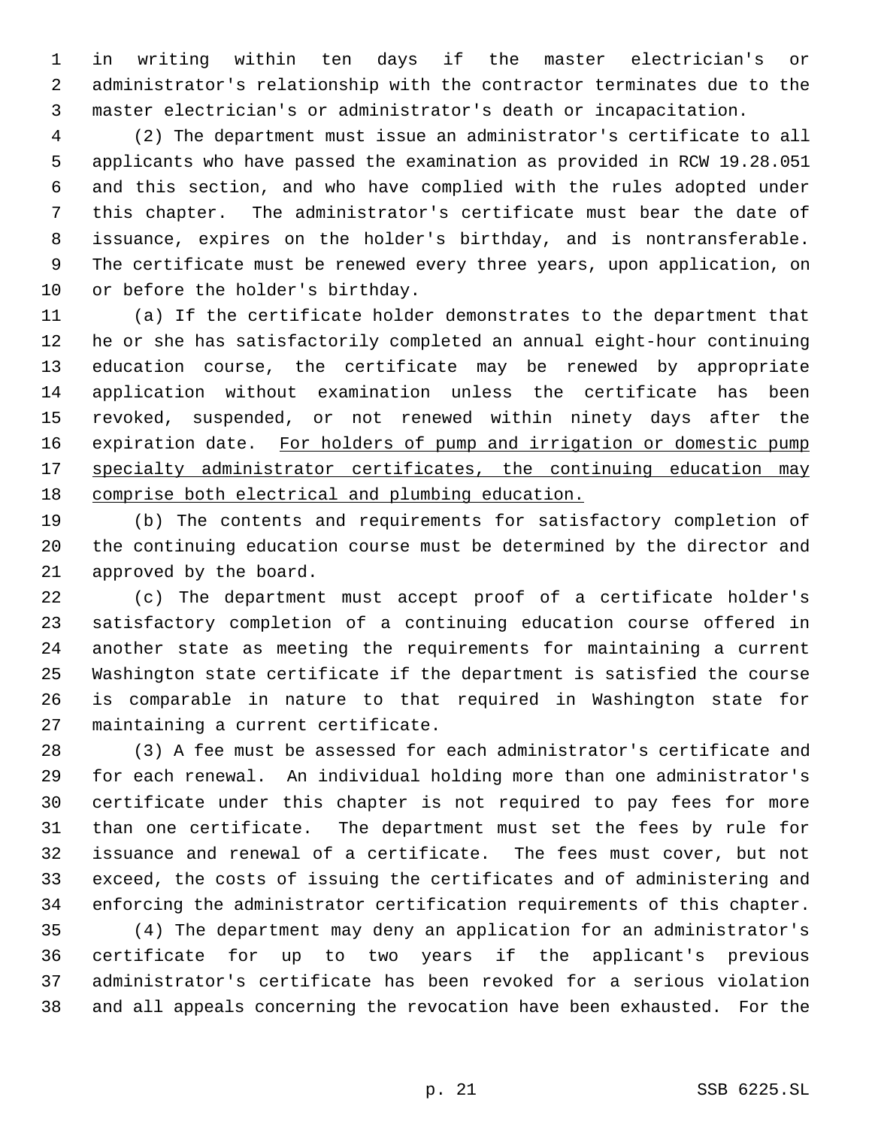in writing within ten days if the master electrician's or administrator's relationship with the contractor terminates due to the master electrician's or administrator's death or incapacitation.

 (2) The department must issue an administrator's certificate to all applicants who have passed the examination as provided in RCW 19.28.051 and this section, and who have complied with the rules adopted under this chapter. The administrator's certificate must bear the date of issuance, expires on the holder's birthday, and is nontransferable. The certificate must be renewed every three years, upon application, on or before the holder's birthday.

 (a) If the certificate holder demonstrates to the department that he or she has satisfactorily completed an annual eight-hour continuing education course, the certificate may be renewed by appropriate application without examination unless the certificate has been revoked, suspended, or not renewed within ninety days after the 16 expiration date. For holders of pump and irrigation or domestic pump 17 specialty administrator certificates, the continuing education may comprise both electrical and plumbing education.

 (b) The contents and requirements for satisfactory completion of the continuing education course must be determined by the director and approved by the board.

 (c) The department must accept proof of a certificate holder's satisfactory completion of a continuing education course offered in another state as meeting the requirements for maintaining a current Washington state certificate if the department is satisfied the course is comparable in nature to that required in Washington state for maintaining a current certificate.

 (3) A fee must be assessed for each administrator's certificate and for each renewal. An individual holding more than one administrator's certificate under this chapter is not required to pay fees for more than one certificate. The department must set the fees by rule for issuance and renewal of a certificate. The fees must cover, but not exceed, the costs of issuing the certificates and of administering and enforcing the administrator certification requirements of this chapter.

 (4) The department may deny an application for an administrator's certificate for up to two years if the applicant's previous administrator's certificate has been revoked for a serious violation and all appeals concerning the revocation have been exhausted. For the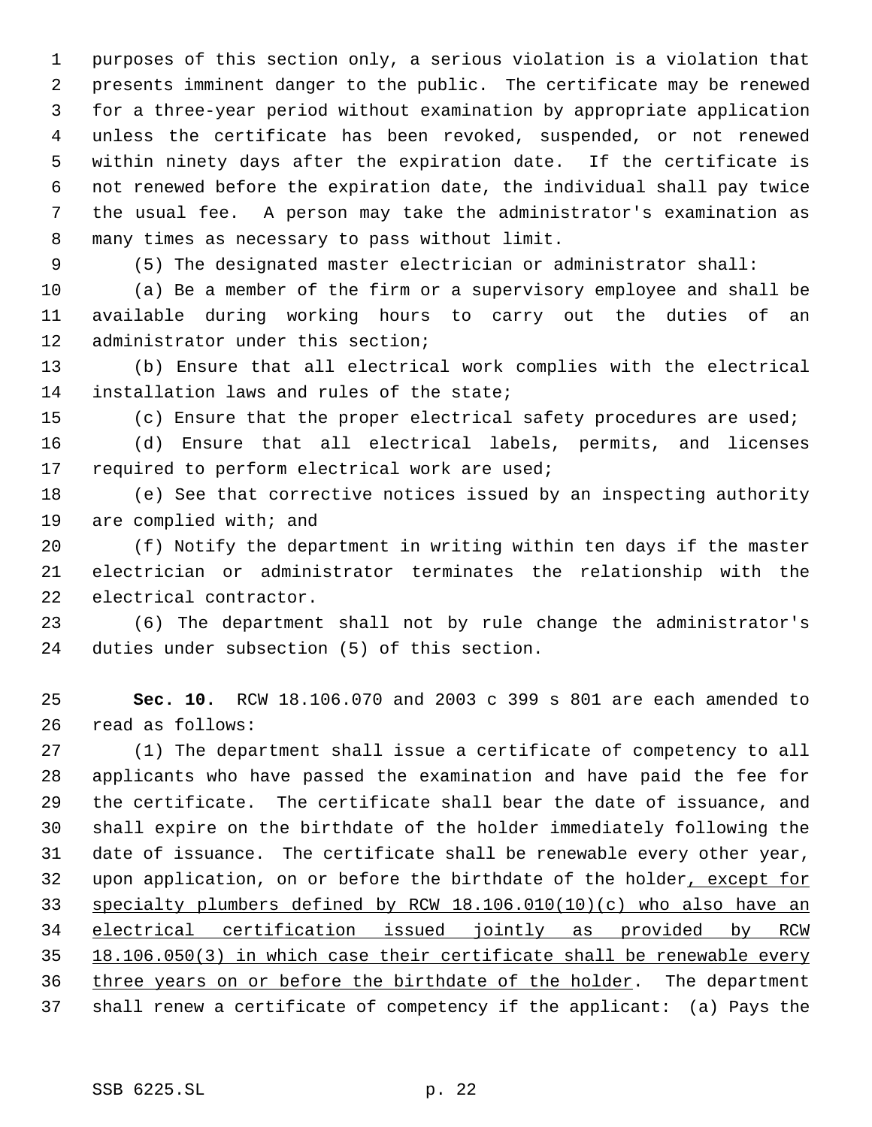purposes of this section only, a serious violation is a violation that presents imminent danger to the public. The certificate may be renewed for a three-year period without examination by appropriate application unless the certificate has been revoked, suspended, or not renewed within ninety days after the expiration date. If the certificate is not renewed before the expiration date, the individual shall pay twice the usual fee. A person may take the administrator's examination as many times as necessary to pass without limit.

(5) The designated master electrician or administrator shall:

 (a) Be a member of the firm or a supervisory employee and shall be available during working hours to carry out the duties of an administrator under this section;

 (b) Ensure that all electrical work complies with the electrical installation laws and rules of the state;

(c) Ensure that the proper electrical safety procedures are used;

 (d) Ensure that all electrical labels, permits, and licenses 17 required to perform electrical work are used;

 (e) See that corrective notices issued by an inspecting authority are complied with; and

 (f) Notify the department in writing within ten days if the master electrician or administrator terminates the relationship with the electrical contractor.

 (6) The department shall not by rule change the administrator's duties under subsection (5) of this section.

 **Sec. 10.** RCW 18.106.070 and 2003 c 399 s 801 are each amended to read as follows:

 (1) The department shall issue a certificate of competency to all applicants who have passed the examination and have paid the fee for the certificate. The certificate shall bear the date of issuance, and shall expire on the birthdate of the holder immediately following the date of issuance. The certificate shall be renewable every other year, 32 upon application, on or before the birthdate of the holder, except for specialty plumbers defined by RCW 18.106.010(10)(c) who also have an electrical certification issued jointly as provided by RCW 18.106.050(3) in which case their certificate shall be renewable every 36 three years on or before the birthdate of the holder. The department shall renew a certificate of competency if the applicant: (a) Pays the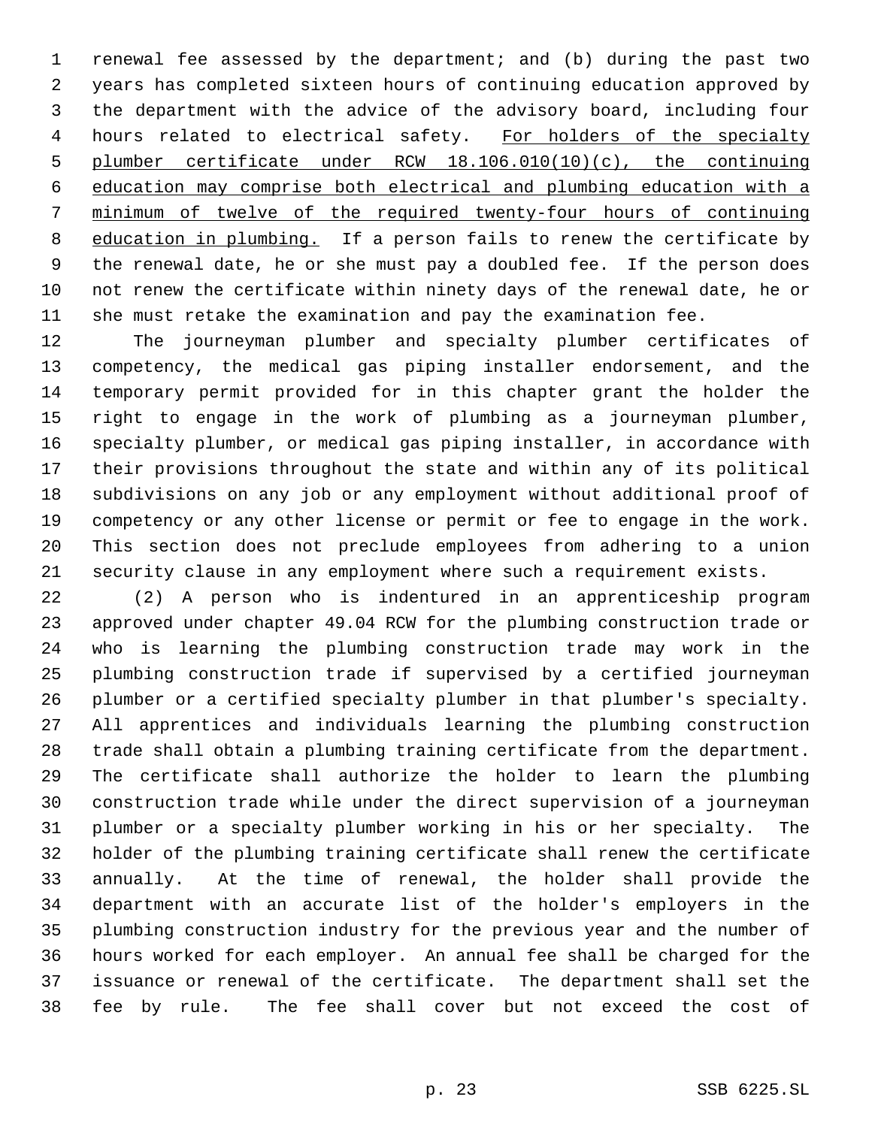renewal fee assessed by the department; and (b) during the past two years has completed sixteen hours of continuing education approved by the department with the advice of the advisory board, including four 4 hours related to electrical safety. For holders of the specialty plumber certificate under RCW 18.106.010(10)(c), the continuing education may comprise both electrical and plumbing education with a minimum of twelve of the required twenty-four hours of continuing 8 education in plumbing. If a person fails to renew the certificate by the renewal date, he or she must pay a doubled fee. If the person does not renew the certificate within ninety days of the renewal date, he or she must retake the examination and pay the examination fee.

 The journeyman plumber and specialty plumber certificates of competency, the medical gas piping installer endorsement, and the temporary permit provided for in this chapter grant the holder the right to engage in the work of plumbing as a journeyman plumber, specialty plumber, or medical gas piping installer, in accordance with their provisions throughout the state and within any of its political subdivisions on any job or any employment without additional proof of competency or any other license or permit or fee to engage in the work. This section does not preclude employees from adhering to a union security clause in any employment where such a requirement exists.

 (2) A person who is indentured in an apprenticeship program approved under chapter 49.04 RCW for the plumbing construction trade or who is learning the plumbing construction trade may work in the plumbing construction trade if supervised by a certified journeyman plumber or a certified specialty plumber in that plumber's specialty. All apprentices and individuals learning the plumbing construction trade shall obtain a plumbing training certificate from the department. The certificate shall authorize the holder to learn the plumbing construction trade while under the direct supervision of a journeyman plumber or a specialty plumber working in his or her specialty. The holder of the plumbing training certificate shall renew the certificate annually. At the time of renewal, the holder shall provide the department with an accurate list of the holder's employers in the plumbing construction industry for the previous year and the number of hours worked for each employer. An annual fee shall be charged for the issuance or renewal of the certificate. The department shall set the fee by rule. The fee shall cover but not exceed the cost of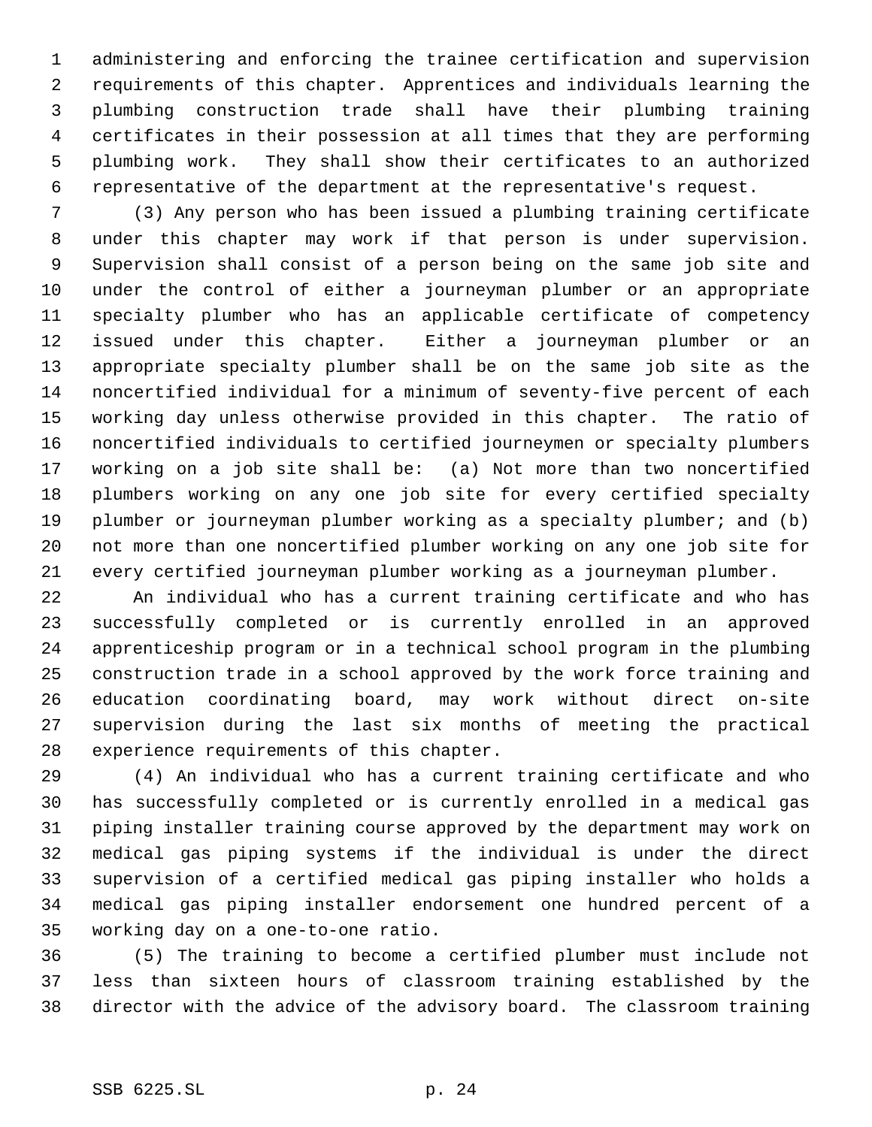administering and enforcing the trainee certification and supervision requirements of this chapter. Apprentices and individuals learning the plumbing construction trade shall have their plumbing training certificates in their possession at all times that they are performing plumbing work. They shall show their certificates to an authorized representative of the department at the representative's request.

 (3) Any person who has been issued a plumbing training certificate under this chapter may work if that person is under supervision. Supervision shall consist of a person being on the same job site and under the control of either a journeyman plumber or an appropriate specialty plumber who has an applicable certificate of competency issued under this chapter. Either a journeyman plumber or an appropriate specialty plumber shall be on the same job site as the noncertified individual for a minimum of seventy-five percent of each working day unless otherwise provided in this chapter. The ratio of noncertified individuals to certified journeymen or specialty plumbers working on a job site shall be: (a) Not more than two noncertified plumbers working on any one job site for every certified specialty plumber or journeyman plumber working as a specialty plumber; and (b) not more than one noncertified plumber working on any one job site for every certified journeyman plumber working as a journeyman plumber.

 An individual who has a current training certificate and who has successfully completed or is currently enrolled in an approved apprenticeship program or in a technical school program in the plumbing construction trade in a school approved by the work force training and education coordinating board, may work without direct on-site supervision during the last six months of meeting the practical experience requirements of this chapter.

 (4) An individual who has a current training certificate and who has successfully completed or is currently enrolled in a medical gas piping installer training course approved by the department may work on medical gas piping systems if the individual is under the direct supervision of a certified medical gas piping installer who holds a medical gas piping installer endorsement one hundred percent of a working day on a one-to-one ratio.

 (5) The training to become a certified plumber must include not less than sixteen hours of classroom training established by the director with the advice of the advisory board. The classroom training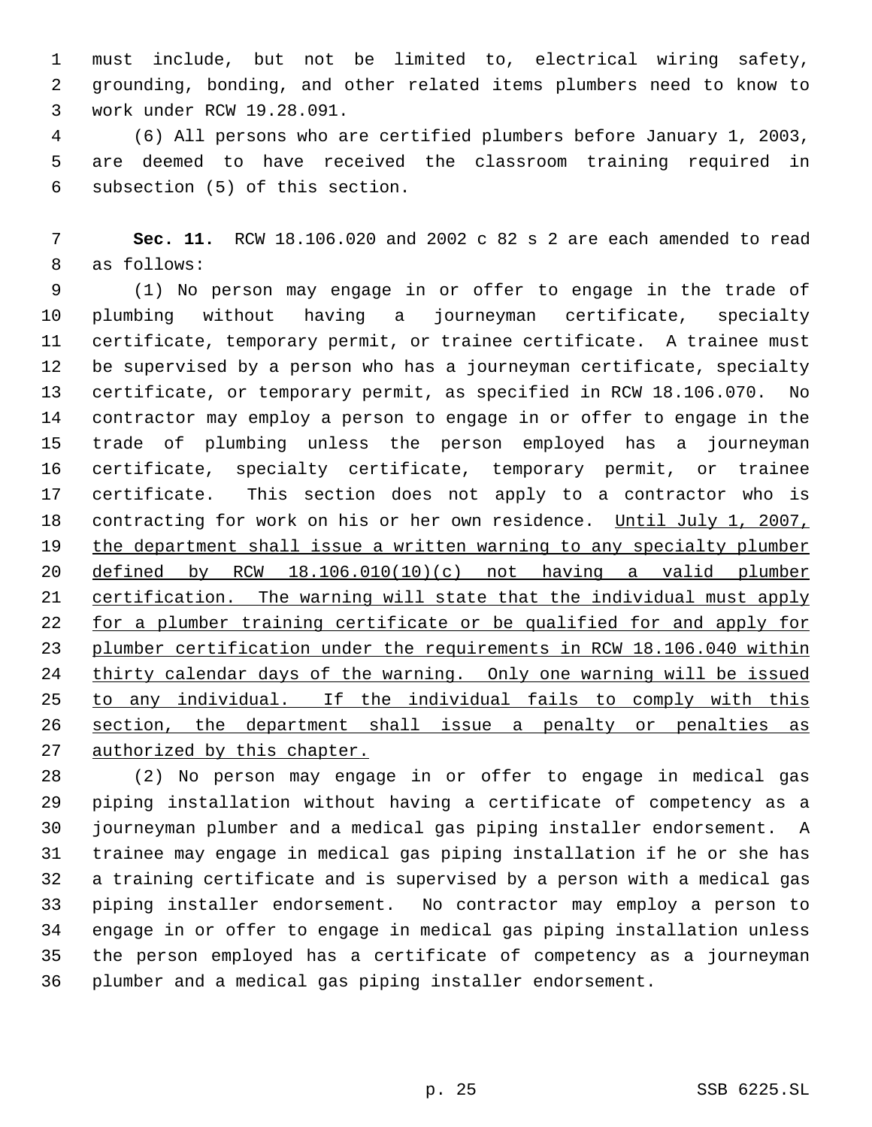must include, but not be limited to, electrical wiring safety, grounding, bonding, and other related items plumbers need to know to work under RCW 19.28.091.

 (6) All persons who are certified plumbers before January 1, 2003, are deemed to have received the classroom training required in subsection (5) of this section.

 **Sec. 11.** RCW 18.106.020 and 2002 c 82 s 2 are each amended to read as follows:

 (1) No person may engage in or offer to engage in the trade of plumbing without having a journeyman certificate, specialty certificate, temporary permit, or trainee certificate. A trainee must be supervised by a person who has a journeyman certificate, specialty certificate, or temporary permit, as specified in RCW 18.106.070. No contractor may employ a person to engage in or offer to engage in the trade of plumbing unless the person employed has a journeyman certificate, specialty certificate, temporary permit, or trainee certificate. This section does not apply to a contractor who is 18 contracting for work on his or her own residence. Until July 1, 2007, 19 the department shall issue a written warning to any specialty plumber defined by RCW 18.106.010(10)(c) not having a valid plumber certification. The warning will state that the individual must apply 22 for a plumber training certificate or be qualified for and apply for plumber certification under the requirements in RCW 18.106.040 within thirty calendar days of the warning. Only one warning will be issued to any individual. If the individual fails to comply with this 26 section, the department shall issue a penalty or penalties as 27 authorized by this chapter.

 (2) No person may engage in or offer to engage in medical gas piping installation without having a certificate of competency as a journeyman plumber and a medical gas piping installer endorsement. A trainee may engage in medical gas piping installation if he or she has a training certificate and is supervised by a person with a medical gas piping installer endorsement. No contractor may employ a person to engage in or offer to engage in medical gas piping installation unless the person employed has a certificate of competency as a journeyman plumber and a medical gas piping installer endorsement.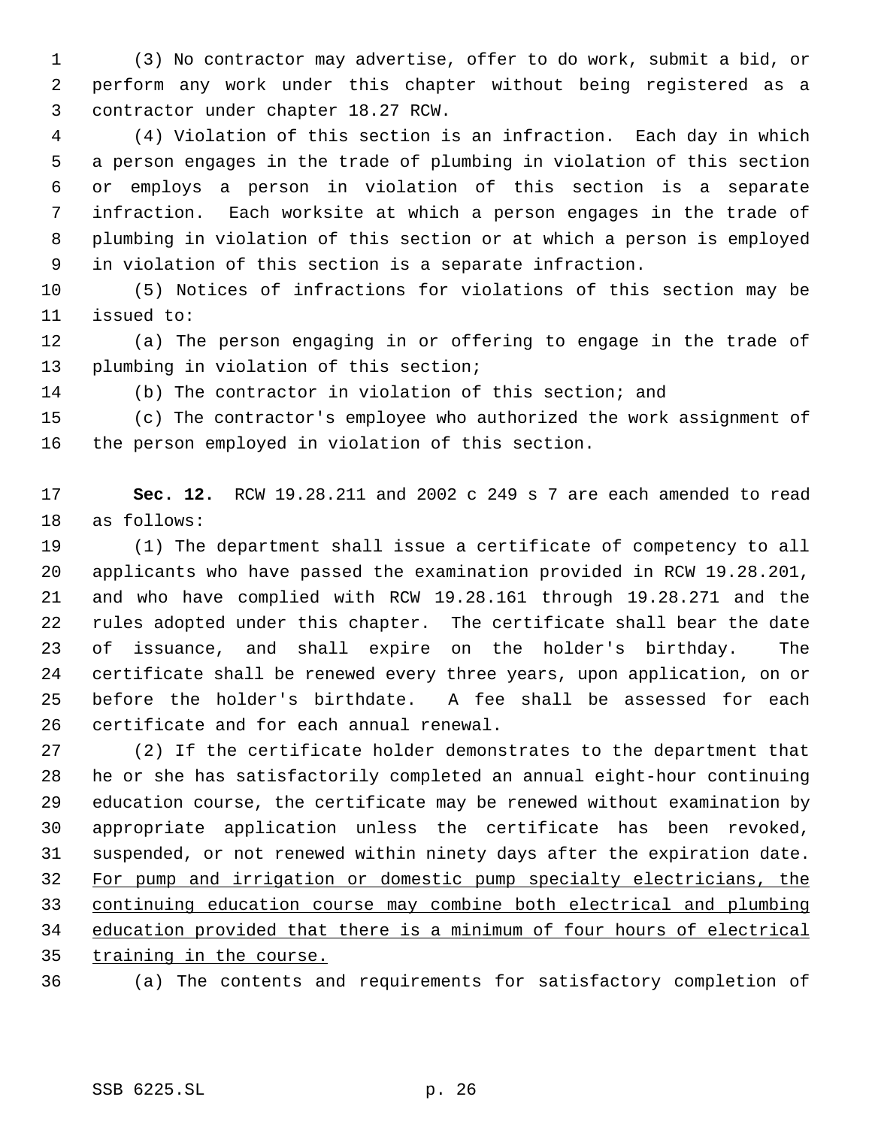(3) No contractor may advertise, offer to do work, submit a bid, or perform any work under this chapter without being registered as a contractor under chapter 18.27 RCW.

 (4) Violation of this section is an infraction. Each day in which a person engages in the trade of plumbing in violation of this section or employs a person in violation of this section is a separate infraction. Each worksite at which a person engages in the trade of plumbing in violation of this section or at which a person is employed in violation of this section is a separate infraction.

 (5) Notices of infractions for violations of this section may be issued to:

 (a) The person engaging in or offering to engage in the trade of plumbing in violation of this section;

(b) The contractor in violation of this section; and

 (c) The contractor's employee who authorized the work assignment of the person employed in violation of this section.

 **Sec. 12.** RCW 19.28.211 and 2002 c 249 s 7 are each amended to read as follows:

 (1) The department shall issue a certificate of competency to all applicants who have passed the examination provided in RCW 19.28.201, and who have complied with RCW 19.28.161 through 19.28.271 and the rules adopted under this chapter. The certificate shall bear the date of issuance, and shall expire on the holder's birthday. The certificate shall be renewed every three years, upon application, on or before the holder's birthdate. A fee shall be assessed for each certificate and for each annual renewal.

 (2) If the certificate holder demonstrates to the department that he or she has satisfactorily completed an annual eight-hour continuing education course, the certificate may be renewed without examination by appropriate application unless the certificate has been revoked, suspended, or not renewed within ninety days after the expiration date. For pump and irrigation or domestic pump specialty electricians, the continuing education course may combine both electrical and plumbing education provided that there is a minimum of four hours of electrical training in the course.

(a) The contents and requirements for satisfactory completion of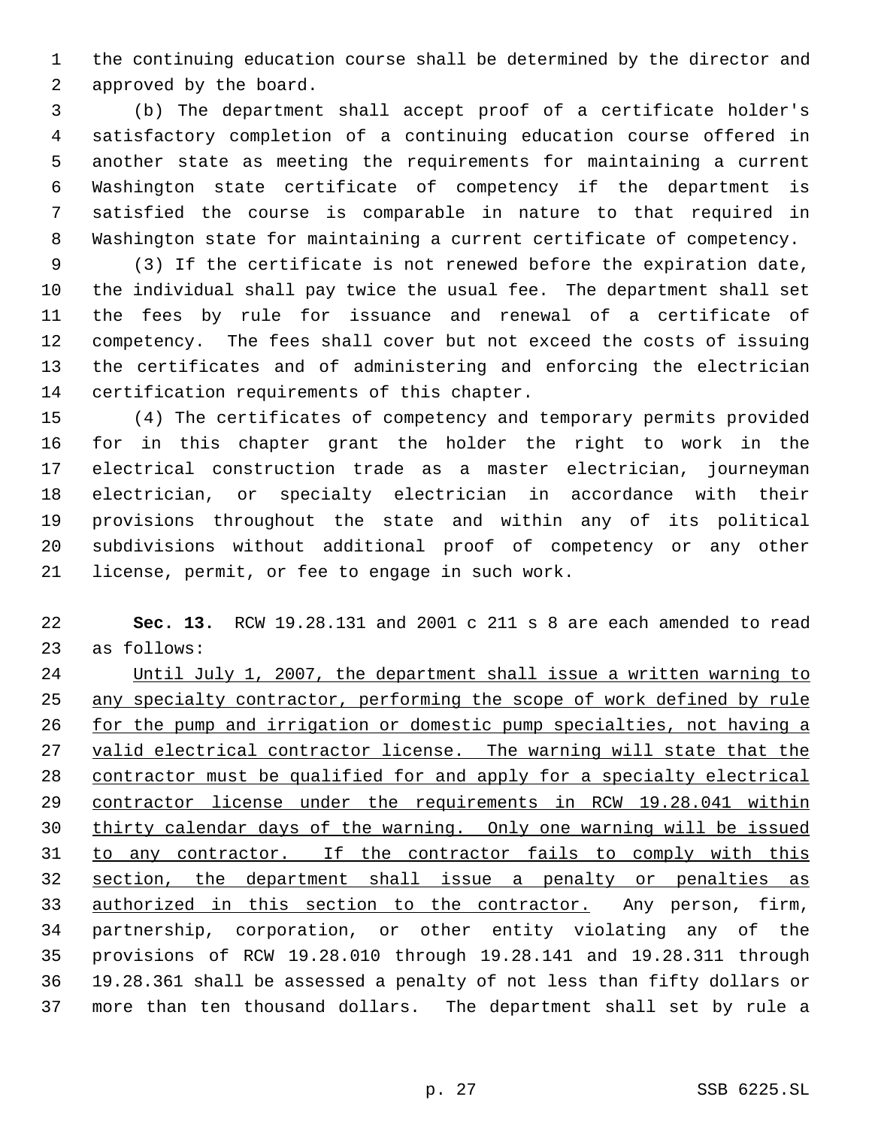the continuing education course shall be determined by the director and approved by the board.

 (b) The department shall accept proof of a certificate holder's satisfactory completion of a continuing education course offered in another state as meeting the requirements for maintaining a current Washington state certificate of competency if the department is satisfied the course is comparable in nature to that required in Washington state for maintaining a current certificate of competency.

 (3) If the certificate is not renewed before the expiration date, the individual shall pay twice the usual fee. The department shall set the fees by rule for issuance and renewal of a certificate of competency. The fees shall cover but not exceed the costs of issuing the certificates and of administering and enforcing the electrician certification requirements of this chapter.

 (4) The certificates of competency and temporary permits provided for in this chapter grant the holder the right to work in the electrical construction trade as a master electrician, journeyman electrician, or specialty electrician in accordance with their provisions throughout the state and within any of its political subdivisions without additional proof of competency or any other license, permit, or fee to engage in such work.

 **Sec. 13.** RCW 19.28.131 and 2001 c 211 s 8 are each amended to read as follows:

 Until July 1, 2007, the department shall issue a written warning to 25 any specialty contractor, performing the scope of work defined by rule 26 for the pump and irrigation or domestic pump specialties, not having a 27 valid electrical contractor license. The warning will state that the contractor must be qualified for and apply for a specialty electrical contractor license under the requirements in RCW 19.28.041 within thirty calendar days of the warning. Only one warning will be issued to any contractor. If the contractor fails to comply with this 32 section, the department shall issue a penalty or penalties as 33 authorized in this section to the contractor. Any person, firm, partnership, corporation, or other entity violating any of the provisions of RCW 19.28.010 through 19.28.141 and 19.28.311 through 19.28.361 shall be assessed a penalty of not less than fifty dollars or more than ten thousand dollars. The department shall set by rule a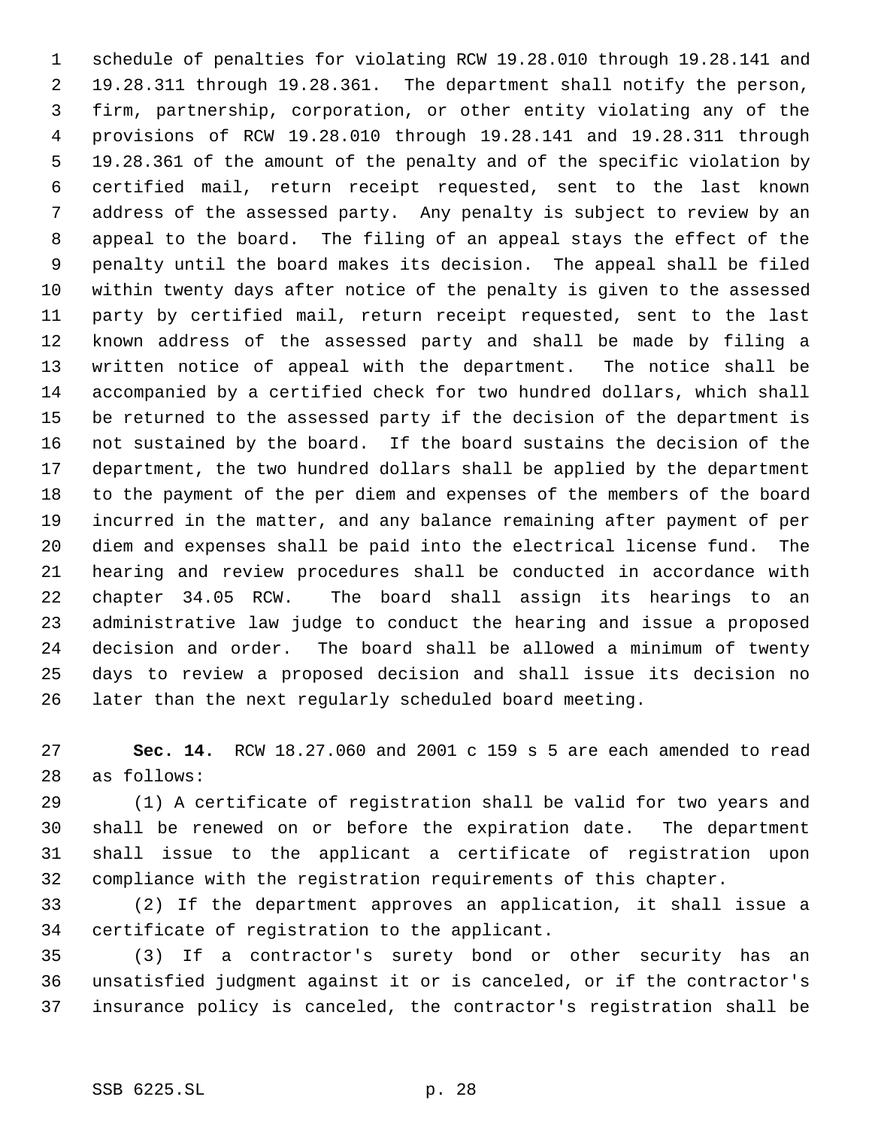schedule of penalties for violating RCW 19.28.010 through 19.28.141 and 19.28.311 through 19.28.361. The department shall notify the person, firm, partnership, corporation, or other entity violating any of the provisions of RCW 19.28.010 through 19.28.141 and 19.28.311 through 19.28.361 of the amount of the penalty and of the specific violation by certified mail, return receipt requested, sent to the last known address of the assessed party. Any penalty is subject to review by an appeal to the board. The filing of an appeal stays the effect of the penalty until the board makes its decision. The appeal shall be filed within twenty days after notice of the penalty is given to the assessed party by certified mail, return receipt requested, sent to the last known address of the assessed party and shall be made by filing a written notice of appeal with the department. The notice shall be accompanied by a certified check for two hundred dollars, which shall be returned to the assessed party if the decision of the department is not sustained by the board. If the board sustains the decision of the department, the two hundred dollars shall be applied by the department to the payment of the per diem and expenses of the members of the board incurred in the matter, and any balance remaining after payment of per diem and expenses shall be paid into the electrical license fund. The hearing and review procedures shall be conducted in accordance with chapter 34.05 RCW. The board shall assign its hearings to an administrative law judge to conduct the hearing and issue a proposed decision and order. The board shall be allowed a minimum of twenty days to review a proposed decision and shall issue its decision no later than the next regularly scheduled board meeting.

 **Sec. 14.** RCW 18.27.060 and 2001 c 159 s 5 are each amended to read as follows:

 (1) A certificate of registration shall be valid for two years and shall be renewed on or before the expiration date. The department shall issue to the applicant a certificate of registration upon compliance with the registration requirements of this chapter.

 (2) If the department approves an application, it shall issue a certificate of registration to the applicant.

 (3) If a contractor's surety bond or other security has an unsatisfied judgment against it or is canceled, or if the contractor's insurance policy is canceled, the contractor's registration shall be